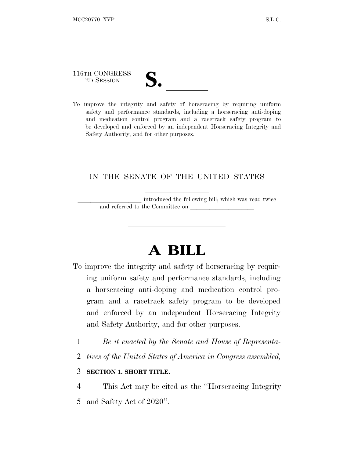116TH CONGRESS

- TH CONGRESS **S. letter of the Second Second Second Second Second Second Second Second Second Second Second Second Second Second Second Second Second Second Second Second Second Second Second Second Second Second Second S**
- To improve the integrity and safety of horseracing by requiring uniform safety and performance standards, including a horseracing anti-doping and medication control program and a racetrack safety program to be developed and enforced by an independent Horseracing Integrity and Safety Authority, and for other purposes.

### IN THE SENATE OF THE UNITED STATES

llllllllll

introduced the following bill; which was read twice and referred to the Committee on

# **A BILL**

- To improve the integrity and safety of horseracing by requiring uniform safety and performance standards, including a horseracing anti-doping and medication control program and a racetrack safety program to be developed and enforced by an independent Horseracing Integrity and Safety Authority, and for other purposes.
	- 1 *Be it enacted by the Senate and House of Representa-*
	- 2 *tives of the United States of America in Congress assembled,*

#### 3 **SECTION 1. SHORT TITLE.**

4 This Act may be cited as the ''Horseracing Integrity 5 and Safety Act of 2020''.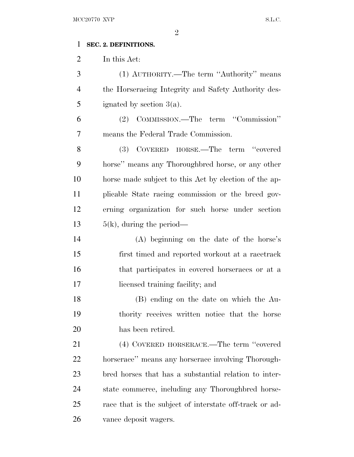### **SEC. 2. DEFINITIONS.**

In this Act:

 (1) AUTHORITY.—The term ''Authority'' means the Horseracing Integrity and Safety Authority des-5 ignated by section  $3(a)$ .

 (2) COMMISSION.—The term ''Commission'' means the Federal Trade Commission.

 (3) COVERED HORSE.—The term ''covered horse'' means any Thoroughbred horse, or any other horse made subject to this Act by election of the ap- plicable State racing commission or the breed gov- erning organization for such horse under section  $5(k)$ , during the period—

 (A) beginning on the date of the horse's first timed and reported workout at a racetrack that participates in covered horseraces or at a licensed training facility; and

 (B) ending on the date on which the Au- thority receives written notice that the horse has been retired.

 (4) COVERED HORSERACE.—The term ''covered horserace'' means any horserace involving Thorough- bred horses that has a substantial relation to inter- state commerce, including any Thoroughbred horse- race that is the subject of interstate off-track or ad-vance deposit wagers.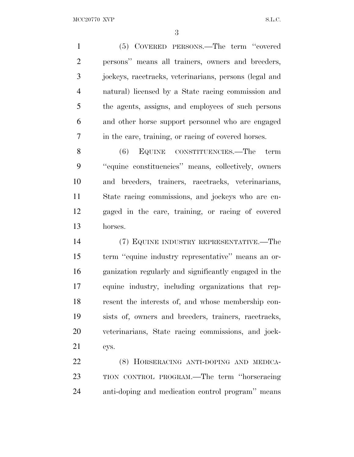(5) COVERED PERSONS.—The term ''covered persons'' means all trainers, owners and breeders, jockeys, racetracks, veterinarians, persons (legal and natural) licensed by a State racing commission and the agents, assigns, and employees of such persons and other horse support personnel who are engaged in the care, training, or racing of covered horses.

 (6) EQUINE CONSTITUENCIES.—The term ''equine constituencies'' means, collectively, owners and breeders, trainers, racetracks, veterinarians, State racing commissions, and jockeys who are en- gaged in the care, training, or racing of covered horses.

 (7) EQUINE INDUSTRY REPRESENTATIVE.—The term ''equine industry representative'' means an or- ganization regularly and significantly engaged in the equine industry, including organizations that rep- resent the interests of, and whose membership con- sists of, owners and breeders, trainers, racetracks, veterinarians, State racing commissions, and jock-eys.

 (8) HORSERACING ANTI-DOPING AND MEDICA- TION CONTROL PROGRAM.—The term ''horseracing anti-doping and medication control program'' means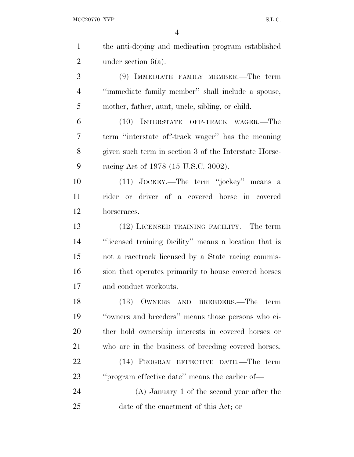| $\mathbf{1}$   | the anti-doping and medication program established    |
|----------------|-------------------------------------------------------|
| $\overline{2}$ | under section $6(a)$ .                                |
| 3              | (9) IMMEDIATE FAMILY MEMBER.—The term                 |
| $\overline{4}$ | "immediate family member" shall include a spouse,     |
| 5              | mother, father, aunt, uncle, sibling, or child.       |
| 6              | (10) INTERSTATE OFF-TRACK WAGER.—The                  |
| 7              | term "interstate off-track wager" has the meaning     |
| 8              | given such term in section 3 of the Interstate Horse- |
| 9              | racing Act of 1978 (15 U.S.C. 3002).                  |
| 10             | (11) JOCKEY.—The term "jockey" means a                |
| 11             | rider or driver of a covered horse in covered         |
| 12             | horseraces.                                           |
| 13             | (12) LICENSED TRAINING FACILITY.—The term             |
| 14             | "licensed training facility" means a location that is |
| 15             | not a racetrack licensed by a State racing commis-    |
| 16             | sion that operates primarily to house covered horses  |
| 17             | and conduct workouts.                                 |
| 18             | (13) OWNERS AND BREEDERS.—The<br>term                 |
| 19             | "owners and breeders" means those persons who ei-     |
| 20             | ther hold ownership interests in covered horses or    |
| 21             | who are in the business of breeding covered horses.   |
| 22             | (14) PROGRAM EFFECTIVE DATE.—The term                 |
| 23             | "program effective date" means the earlier of-        |
| 24             | $(A)$ January 1 of the second year after the          |
| 25             | date of the enactment of this Act; or                 |
|                |                                                       |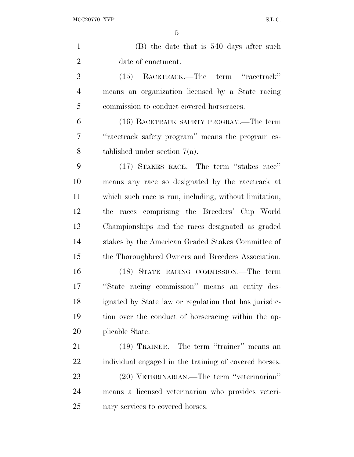| $\mathbf{1}$   | (B) the date that is 540 days after such               |
|----------------|--------------------------------------------------------|
| $\overline{2}$ | date of enactment.                                     |
| 3              | (15) RACETRACK.—The term "racetrack"                   |
| $\overline{4}$ | means an organization licensed by a State racing       |
| 5              | commission to conduct covered horseraces.              |
| 6              | (16) RACETRACK SAFETY PROGRAM.—The term                |
| 7              | "racetrack safety program" means the program es-       |
| 8              | tablished under section $7(a)$ .                       |
| 9              | (17) STAKES RACE.—The term "stakes race"               |
| 10             | means any race so designated by the racetrack at       |
| 11             | which such race is run, including, without limitation, |
| 12             | races comprising the Breeders' Cup World<br>the        |
| 13             | Championships and the races designated as graded       |
| 14             | stakes by the American Graded Stakes Committee of      |
| 15             | the Thoroughbred Owners and Breeders Association.      |
| 16             | (18) STATE RACING COMMISSION.—The term                 |
| 17             | "State racing commission" means an entity des-         |
| 18             | ignated by State law or regulation that has jurisdic-  |
| 19             | tion over the conduct of horseracing within the ap-    |
| 20             | plicable State.                                        |
| 21             | (19) TRAINER.—The term "trainer" means an              |
| 22             | individual engaged in the training of covered horses.  |
| 23             | (20) VETERINARIAN.—The term "veterinarian"             |
| 24             | means a licensed veterinarian who provides veteri-     |
| 25             | nary services to covered horses.                       |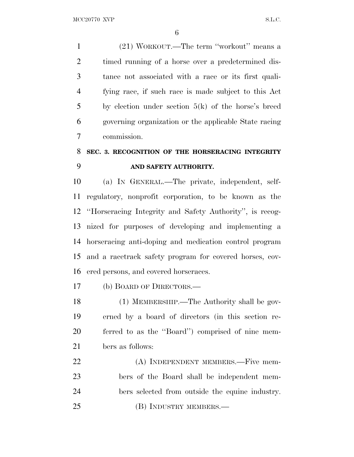(21) WORKOUT.—The term ''workout'' means a timed running of a horse over a predetermined dis- tance not associated with a race or its first quali- fying race, if such race is made subject to this Act by election under section 5(k) of the horse's breed governing organization or the applicable State racing commission.

### **SEC. 3. RECOGNITION OF THE HORSERACING INTEGRITY AND SAFETY AUTHORITY.**

 (a) IN GENERAL.—The private, independent, self- regulatory, nonprofit corporation, to be known as the ''Horseracing Integrity and Safety Authority'', is recog- nized for purposes of developing and implementing a horseracing anti-doping and medication control program and a racetrack safety program for covered horses, cov-ered persons, and covered horseraces.

(b) BOARD OF DIRECTORS.—

 (1) MEMBERSHIP.—The Authority shall be gov- erned by a board of directors (in this section re- ferred to as the ''Board'') comprised of nine mem-bers as follows:

22 (A) INDEPENDENT MEMBERS.—Five mem- bers of the Board shall be independent mem- bers selected from outside the equine industry. 25 (B) INDUSTRY MEMBERS.—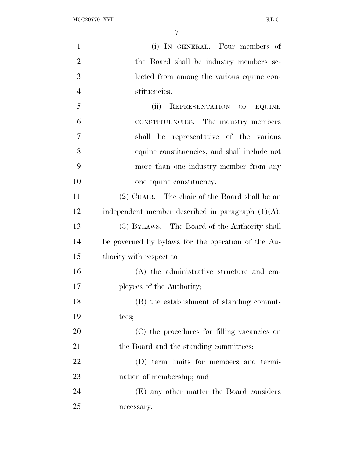| $\mathbf{1}$   | (i) IN GENERAL.—Four members of                      |
|----------------|------------------------------------------------------|
| $\overline{2}$ | the Board shall be industry members se-              |
| 3              | lected from among the various equine con-            |
| $\overline{4}$ | stituencies.                                         |
| 5              | (ii)<br>REPRESENTATION OF EQUINE                     |
| 6              | CONSTITUENCIES.—The industry members                 |
| 7              | representative of the various<br>shall<br>be         |
| 8              | equine constituencies, and shall include not         |
| 9              | more than one industry member from any               |
| 10             | one equine constituency.                             |
| 11             | (2) CHAIR.—The chair of the Board shall be an        |
| 12             | independent member described in paragraph $(1)(A)$ . |
| 13             | (3) BYLAWS.—The Board of the Authority shall         |
| 14             | be governed by bylaws for the operation of the Au-   |
| 15             | thority with respect to-                             |
| 16             | (A) the administrative structure and em-             |
| 17             | ployees of the Authority;                            |
| 18             | (B) the establishment of standing commit-            |
| 19             | tees;                                                |
| 20             | (C) the procedures for filling vacancies on          |
| 21             | the Board and the standing committees;               |
| 22             | (D) term limits for members and termi-               |
| 23             | nation of membership; and                            |
| 24             | (E) any other matter the Board considers             |
| 25             | necessary.                                           |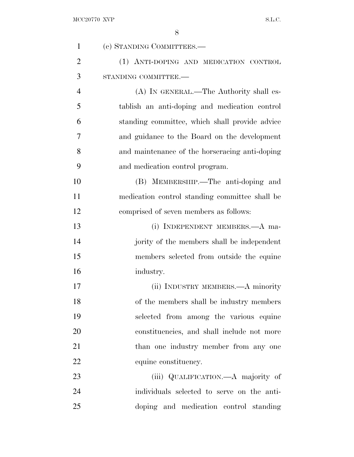| $\mathbf{1}$   | (c) STANDING COMMITTEES.—                      |
|----------------|------------------------------------------------|
| $\overline{2}$ | (1) ANTI-DOPING AND MEDICATION CONTROL         |
| 3              | STANDING COMMITTEE.-                           |
| $\overline{4}$ | (A) IN GENERAL.—The Authority shall es-        |
| 5              | tablish an anti-doping and medication control  |
| 6              | standing committee, which shall provide advice |
| 7              | and guidance to the Board on the development   |
| 8              | and maintenance of the horseracing anti-doping |
| 9              | and medication control program.                |
| 10             | (B) MEMBERSHIP.—The anti-doping and            |
| 11             | medication control standing committee shall be |
| 12             | comprised of seven members as follows:         |
| 13             | (i) INDEPENDENT MEMBERS.—A ma-                 |
| 14             | jority of the members shall be independent     |
| 15             | members selected from outside the equine       |
| 16             | industry.                                      |
| 17             | (ii) INDUSTRY MEMBERS.—A minority              |
| 18             | of the members shall be industry members       |
| 19             | selected from among the various equine         |
| 20             | constituencies, and shall include not more     |
| 21             | than one industry member from any one          |
| 22             | equine constituency.                           |
| 23             | (iii) QUALIFICATION.—A majority of             |
| 24             | individuals selected to serve on the anti-     |
| 25             | doping and medication control standing         |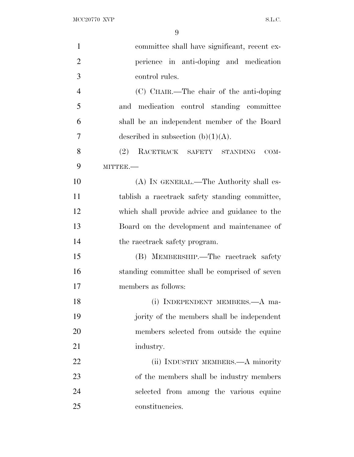| $\mathbf{1}$   | committee shall have significant, recent ex-   |
|----------------|------------------------------------------------|
| $\overline{2}$ | perience in anti-doping and medication         |
| 3              | control rules.                                 |
| $\overline{4}$ | (C) CHAIR.—The chair of the anti-doping        |
| 5              | and medication control standing committee      |
| 6              | shall be an independent member of the Board    |
| 7              | described in subsection $(b)(1)(A)$ .          |
| 8              | (2)<br>RACETRACK SAFETY STANDING<br>COM-       |
| 9              | MITTEE.-                                       |
| 10             | (A) IN GENERAL.—The Authority shall es-        |
| 11             | tablish a racetrack safety standing committee, |
| 12             | which shall provide advice and guidance to the |
| 13             | Board on the development and maintenance of    |
| 14             | the racetrack safety program.                  |
| 15             | (B) MEMBERSHIP.—The racetrack safety           |
| 16             | standing committee shall be comprised of seven |
| 17             | members as follows:                            |
| 18             | (i) INDEPENDENT MEMBERS.—A ma-                 |
| 19             | jority of the members shall be independent     |
| 20             | members selected from outside the equine       |
| 21             | industry.                                      |
| 22             | (ii) INDUSTRY MEMBERS.—A minority              |
| 23             | of the members shall be industry members       |
| 24             | selected from among the various equine         |
| 25             | constituencies.                                |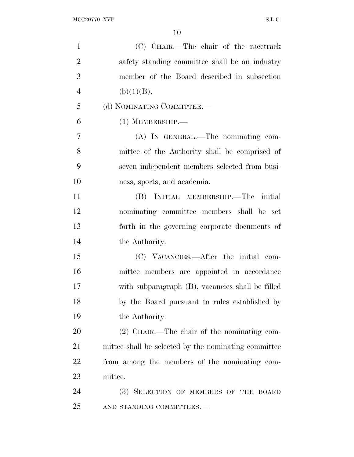| $\mathbf{1}$   | (C) CHAIR.—The chair of the racetrack                |
|----------------|------------------------------------------------------|
| $\overline{2}$ | safety standing committee shall be an industry       |
| 3              | member of the Board described in subsection          |
| $\overline{4}$ | (b)(1)(B).                                           |
| 5              | (d) NOMINATING COMMITTEE.-                           |
| 6              | $(1)$ MEMBERSHIP.—                                   |
| $\overline{7}$ | (A) IN GENERAL.—The nominating com-                  |
| 8              | mittee of the Authority shall be comprised of        |
| 9              | seven independent members selected from busi-        |
| 10             | ness, sports, and academia.                          |
| 11             | (B) INITIAL MEMBERSHIP.—The initial                  |
| 12             | nominating committee members shall be set            |
| 13             | forth in the governing corporate documents of        |
| 14             | the Authority.                                       |
| 15             | (C) VACANCIES.—After the initial com-                |
| 16             | mittee members are appointed in accordance           |
| 17             | with subparagraph (B), vacancies shall be filled     |
| 18             | by the Board pursuant to rules established by        |
| 19             | the Authority.                                       |
| 20             | $(2)$ CHAIR.—The chair of the nominating com-        |
| 21             | mittee shall be selected by the nominating committee |
| 22             | from among the members of the nominating com-        |
| 23             | mittee.                                              |
| 24             | (3) SELECTION OF MEMBERS OF THE BOARD                |
| 25             | AND STANDING COMMITTEES.-                            |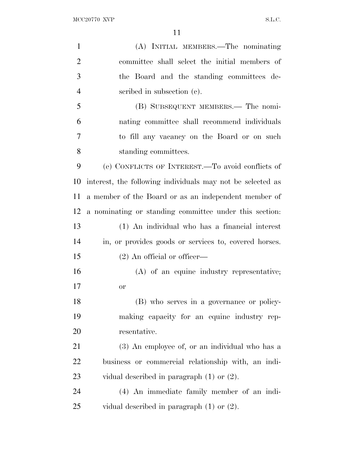| $\mathbf{1}$   | (A) INITIAL MEMBERS.—The nominating                        |
|----------------|------------------------------------------------------------|
| $\overline{2}$ | committee shall select the initial members of              |
| 3              | the Board and the standing committees de-                  |
| $\overline{4}$ | scribed in subsection (c).                                 |
| 5              | (B) SUBSEQUENT MEMBERS.— The nomi-                         |
| 6              | nating committee shall recommend individuals               |
| 7              | to fill any vacancy on the Board or on such                |
| 8              | standing committees.                                       |
| 9              | (e) CONFLICTS OF INTEREST.—To avoid conflicts of           |
| 10             | interest, the following individuals may not be selected as |
| 11             | a member of the Board or as an independent member of       |
| 12             | a nominating or standing committee under this section.     |
| 13             | (1) An individual who has a financial interest             |
| 14             | in, or provides goods or services to, covered horses.      |
| 15             | $(2)$ An official or officer—                              |
| 16             | (A) of an equine industry representative;                  |
| 17             | or                                                         |
| 18             | (B) who serves in a governance or policy-                  |
| 19             | making capacity for an equine industry rep-                |
| 20             | resentative.                                               |
| 21             | (3) An employee of, or an individual who has a             |
| 22             | business or commercial relationship with, an indi-         |
| 23             | vidual described in paragraph $(1)$ or $(2)$ .             |
| 24             | (4) An immediate family member of an indi-                 |
| 25             | vidual described in paragraph $(1)$ or $(2)$ .             |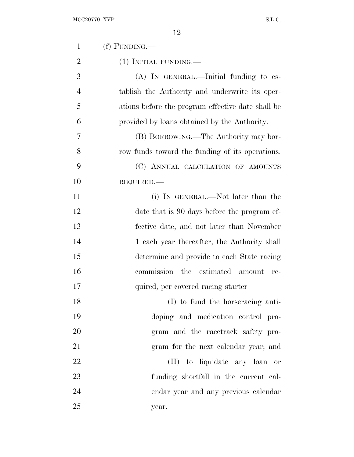| $\mathbf{1}$   | $(f)$ FUNDING.—                                   |
|----------------|---------------------------------------------------|
| $\overline{2}$ | (1) INITIAL FUNDING.—                             |
| 3              | $(A)$ In GENERAL.—Initial funding to es-          |
| $\overline{4}$ | tablish the Authority and underwrite its oper-    |
| 5              | ations before the program effective date shall be |
| 6              | provided by loans obtained by the Authority.      |
| 7              | (B) BORROWING.—The Authority may bor-             |
| 8              | row funds toward the funding of its operations.   |
| 9              | (C) ANNUAL CALCULATION OF AMOUNTS                 |
| 10             | REQUIRED.                                         |
| 11             | (i) IN GENERAL.—Not later than the                |
| 12             | date that is 90 days before the program ef-       |
| 13             | fective date, and not later than November         |
| 14             | 1 each year thereafter, the Authority shall       |
| 15             | determine and provide to each State racing        |
| 16             | commission the estimated<br>amount<br>re-         |
| 17             | quired, per covered racing starter—               |
| 18             | (I) to fund the horseracing anti-                 |
| 19             | doping and medication control pro-                |
| 20             | gram and the racetrack safety pro-                |
| 21             | gram for the next calendar year; and              |
| 22             | (II) to liquidate any loan or                     |
| 23             | funding shortfall in the current cal-             |
| 24             | endar year and any previous calendar              |
| 25             | year.                                             |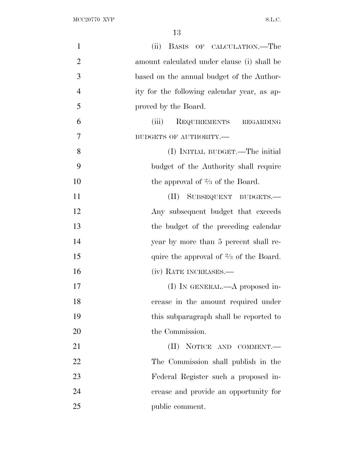| $\mathbf{1}$   | (ii) BASIS OF CALCULATION.—The                    |
|----------------|---------------------------------------------------|
| $\overline{2}$ | amount calculated under clause (i) shall be       |
| 3              | based on the annual budget of the Author-         |
| $\overline{4}$ | ity for the following calendar year, as ap-       |
| 5              | proved by the Board.                              |
| 6              | (iii)<br>REQUIREMENTS REGARDING                   |
| $\overline{7}$ | BUDGETS OF AUTHORITY.-                            |
| 8              | (I) INITIAL BUDGET.—The initial                   |
| 9              | budget of the Authority shall require             |
| 10             | the approval of $\frac{2}{3}$ of the Board.       |
| 11             | SUBSEQUENT BUDGETS.-<br>(II)                      |
| 12             | Any subsequent budget that exceeds                |
| 13             | the budget of the preceding calendar              |
| 14             | year by more than 5 percent shall re-             |
| 15             | quire the approval of $\frac{2}{3}$ of the Board. |
| 16             | (iv) RATE INCREASES.—                             |
| 17             | (I) IN GENERAL.— $A$ proposed in-                 |
| 18             | crease in the amount required under               |
| 19             | this subparagraph shall be reported to            |
| 20             | the Commission.                                   |
| 21             | NOTICE AND COMMENT.<br>$(\Pi)^{\mathsf{T}}$       |
| 22             | The Commission shall publish in the               |
| 23             | Federal Register such a proposed in-              |
| 24             | crease and provide an opportunity for             |
| 25             | public comment.                                   |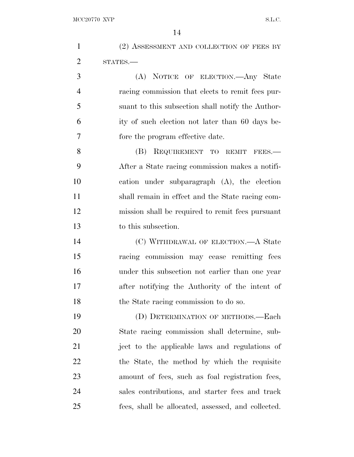|                | 14                                                |
|----------------|---------------------------------------------------|
| $\mathbf{1}$   | (2) ASSESSMENT AND COLLECTION OF FEES BY          |
| $\overline{2}$ | STATES.                                           |
| 3              | (A) NOTICE OF ELECTION.—Any State                 |
| $\overline{4}$ | racing commission that elects to remit fees pur-  |
| 5              | suant to this subsection shall notify the Author- |
| 6              | ity of such election not later than 60 days be-   |
| 7              | fore the program effective date.                  |
| 8              | (B) REQUIREMENT TO REMIT FEES.-                   |
| 9              | After a State racing commission makes a notifi-   |
| 10             | cation under subparagraph (A), the election       |
| 11             | shall remain in effect and the State racing com-  |
| 12             | mission shall be required to remit fees pursuant  |
| 13             | to this subsection.                               |
| 14             | (C) WITHDRAWAL OF ELECTION.—A State               |
| 15             | racing commission may cease remitting fees        |
| 16             | under this subsection not earlier than one year   |
| 17             | after notifying the Authority of the intent of    |
| 18             | the State racing commission to do so.             |
| 19             | (D) DETERMINATION OF METHODS.—Each                |
| 20             | State racing commission shall determine, sub-     |
| 21             | ject to the applicable laws and regulations of    |
| 22             | the State, the method by which the requisite      |

amount of fees, such as foal registration fees,

sales contributions, and starter fees and track

fees, shall be allocated, assessed, and collected.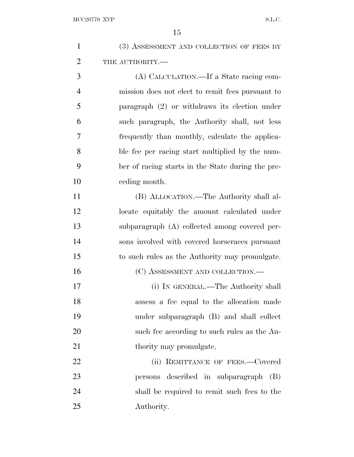| $\mathbf{1}$   | (3) ASSESSMENT AND COLLECTION OF FEES BY          |
|----------------|---------------------------------------------------|
| $\overline{2}$ | THE AUTHORITY.-                                   |
| 3              | (A) CALCULATION.—If a State racing com-           |
| $\overline{4}$ | mission does not elect to remit fees pursuant to  |
| 5              | paragraph $(2)$ or withdraws its election under   |
| 6              | such paragraph, the Authority shall, not less     |
| 7              | frequently than monthly, calculate the applica-   |
| 8              | ble fee per racing start multiplied by the num-   |
| 9              | ber of racing starts in the State during the pre- |
| 10             | ceding month.                                     |
| 11             | (B) ALLOCATION.—The Authority shall al-           |
| 12             | locate equitably the amount calculated under      |
| 13             | subparagraph (A) collected among covered per-     |
| 14             | sons involved with covered horseraces pursuant    |
| 15             | to such rules as the Authority may promulgate.    |
| 16             | (C) ASSESSMENT AND COLLECTION.—                   |
| 17             | (i) IN GENERAL.—The Authority shall               |
| 18             | assess a fee equal to the allocation made         |
| 19             | under subparagraph (B) and shall collect          |
| 20             | such fee according to such rules as the Au-       |
| 21             | thority may promulgate.                           |
| 22             | (ii) REMITTANCE OF FEES.-Covered                  |
| 23             | persons described in subparagraph (B)             |
| 24             | shall be required to remit such fees to the       |
| 25             | Authority.                                        |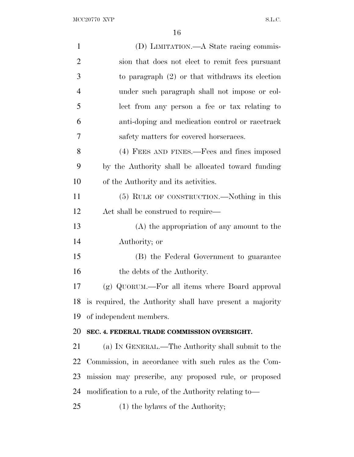| $\mathbf{1}$   | (D) LIMITATION.—A State racing commis-                   |
|----------------|----------------------------------------------------------|
| $\overline{2}$ | sion that does not elect to remit fees pursuant          |
| 3              | to paragraph $(2)$ or that withdraws its election        |
| 4              | under such paragraph shall not impose or col-            |
| 5              | lect from any person a fee or tax relating to            |
| 6              | anti-doping and medication control or racetrack          |
| 7              | safety matters for covered horseraces.                   |
| 8              | (4) FEES AND FINES.—Fees and fines imposed               |
| 9              | by the Authority shall be allocated toward funding       |
| 10             | of the Authority and its activities.                     |
| 11             | (5) RULE OF CONSTRUCTION.—Nothing in this                |
| 12             | Act shall be construed to require—                       |
| 13             | $(A)$ the appropriation of any amount to the             |
| 14             | Authority; or                                            |
| 15             | (B) the Federal Government to guarantee                  |
| 16             | the debts of the Authority.                              |
| 17             | (g) QUORUM.—For all items where Board approval           |
| 18             | is required, the Authority shall have present a majority |
| 19             | of independent members.                                  |
| 20             | SEC. 4. FEDERAL TRADE COMMISSION OVERSIGHT.              |
| 21             | (a) IN GENERAL.—The Authority shall submit to the        |
| 22             | Commission, in accordance with such rules as the Com-    |
| 23             | mission may prescribe, any proposed rule, or proposed    |
| 24             | modification to a rule, of the Authority relating to—    |
| 25             | $(1)$ the bylaws of the Authority;                       |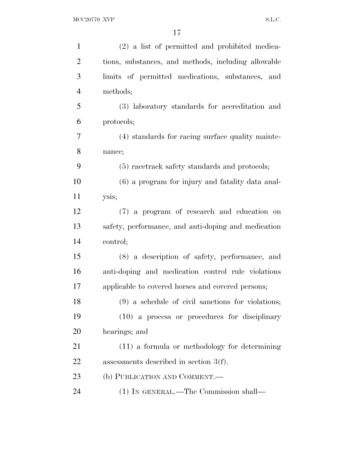| $\mathbf{1}$   | (2) a list of permitted and prohibited medica-      |
|----------------|-----------------------------------------------------|
| $\overline{2}$ | tions, substances, and methods, including allowable |
| 3              | limits of permitted medications, substances, and    |
| $\overline{4}$ | methods;                                            |
| 5              | (3) laboratory standards for accreditation and      |
| 6              | protocols;                                          |
| 7              | (4) standards for racing surface quality mainte-    |
| 8              | nance;                                              |
| 9              | (5) racetrack safety standards and protocols;       |
| 10             | (6) a program for injury and fatality data anal-    |
| 11             | ysis;                                               |
| 12             | (7) a program of research and education on          |
| 13             | safety, performance, and anti-doping and medication |
| 14             | control;                                            |
| 15             | (8) a description of safety, performance, and       |
| 16             | anti-doping and medication control rule violations  |
| 17             | applicable to covered horses and covered persons;   |
| 18             | (9) a schedule of civil sanctions for violations;   |
| 19             | $(10)$ a process or procedures for disciplinary     |
| 20             | hearings; and                                       |
| 21             | $(11)$ a formula or methodology for determining     |
| 22             | assessments described in section $3(f)$ .           |
| 23             | (b) PUBLICATION AND COMMENT.-                       |
| 24             | (1) IN GENERAL.—The Commission shall—               |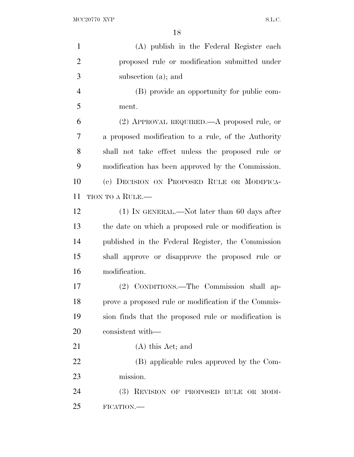| $\mathbf{1}$   | (A) publish in the Federal Register each             |
|----------------|------------------------------------------------------|
| $\overline{2}$ | proposed rule or modification submitted under        |
| 3              | subsection (a); and                                  |
| $\overline{4}$ | (B) provide an opportunity for public com-           |
| 5              | ment.                                                |
| 6              | (2) APPROVAL REQUIRED.—A proposed rule, or           |
| 7              | a proposed modification to a rule, of the Authority  |
| 8              | shall not take effect unless the proposed rule or    |
| 9              | modification has been approved by the Commission.    |
| 10             | (c) DECISION ON PROPOSED RULE OR MODIFICA-           |
| 11             | TION TO A RULE.—                                     |
| 12             | $(1)$ In GENERAL.—Not later than 60 days after       |
| 13             | the date on which a proposed rule or modification is |
| 14             | published in the Federal Register, the Commission    |
| 15             | shall approve or disapprove the proposed rule or     |
| 16             | modification.                                        |
| 17             | (2) CONDITIONS.—The Commission shall ap-             |
| 18             | prove a proposed rule or modification if the Commis- |
| 19             | sion finds that the proposed rule or modification is |
| 20             | consistent with—                                     |
| 21             | (A) this Act; and                                    |
| 22             | (B) applicable rules approved by the Com-            |
| 23             | mission.                                             |
| 24             | (3) REVISION OF PROPOSED RULE OR MODI-               |
| 25             | FICATION.                                            |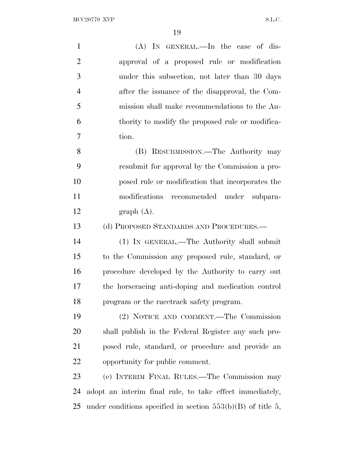| $\mathbf{1}$   | $(A)$ IN GENERAL.—In the case of dis-               |
|----------------|-----------------------------------------------------|
| $\overline{2}$ | approval of a proposed rule or modification         |
| 3              | under this subsection, not later than 30 days       |
| $\overline{4}$ | after the issuance of the disapproval, the Com-     |
| 5              | mission shall make recommendations to the Au-       |
| 6              | thority to modify the proposed rule or modifica-    |
| 7              | tion.                                               |
| 8              | (B) RESUBMISSION.—The Authority may                 |
| 9              | resubmit for approval by the Commission a pro-      |
| 10             | posed rule or modification that incorporates the    |
| 11             | modifications<br>recommended under subpara-         |
| 12             | graph(A).                                           |
| 13             | (d) PROPOSED STANDARDS AND PROCEDURES.—             |
| 14             | (1) IN GENERAL.—The Authority shall submit          |
| 15             | to the Commission any proposed rule, standard, or   |
| 16             | procedure developed by the Authority to carry out   |
| 17             | the horseracing anti-doping and medication control  |
| 18             |                                                     |
|                | program or the racetrack safety program.            |
| 19             | (2) NOTICE AND COMMENT.—The Commission              |
| 20             | shall publish in the Federal Register any such pro- |
| 21             | posed rule, standard, or procedure and provide an   |
| 22             | opportunity for public comment.                     |
| 23             | (e) INTERIM FINAL RULES.—The Commission may         |

under conditions specified in section 553(b)(B) of title 5,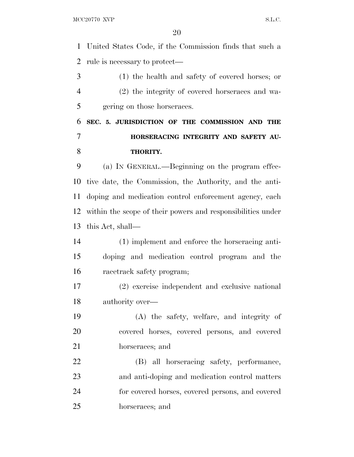MCC20770 XVP S.L.C.

 United States Code, if the Commission finds that such a rule is necessary to protect—

 (1) the health and safety of covered horses; or (2) the integrity of covered horseraces and wa-gering on those horseraces.

## **SEC. 5. JURISDICTION OF THE COMMISSION AND THE HORSERACING INTEGRITY AND SAFETY AU-THORITY.**

 (a) IN GENERAL.—Beginning on the program effec- tive date, the Commission, the Authority, and the anti- doping and medication control enforcement agency, each within the scope of their powers and responsibilities under this Act, shall—

 (1) implement and enforce the horseracing anti- doping and medication control program and the racetrack safety program;

 (2) exercise independent and exclusive national authority over—

 (A) the safety, welfare, and integrity of covered horses, covered persons, and covered horseraces; and

 (B) all horseracing safety, performance, and anti-doping and medication control matters for covered horses, covered persons, and covered horseraces; and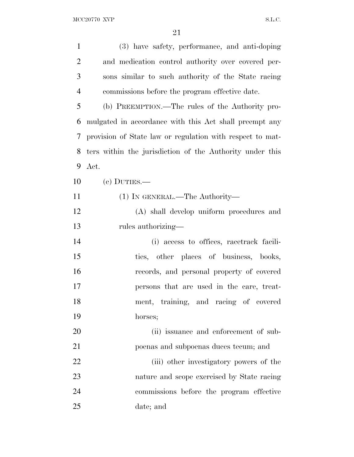| $\mathbf{1}$   | (3) have safety, performance, and anti-doping             |
|----------------|-----------------------------------------------------------|
| $\overline{2}$ | and medication control authority over covered per-        |
| 3              | sons similar to such authority of the State racing        |
| $\overline{4}$ | commissions before the program effective date.            |
| 5              | (b) PREEMPTION.—The rules of the Authority pro-           |
| 6              | mulgated in accordance with this Act shall preempt any    |
| 7              | provision of State law or regulation with respect to mat- |
| 8              | ters within the jurisdiction of the Authority under this  |
| 9              | Act.                                                      |
| 10             | $(c)$ DUTIES.—                                            |
| 11             | $(1)$ In GENERAL.—The Authority—                          |
| 12             | (A) shall develop uniform procedures and                  |
| 13             | rules authorizing—                                        |
| 14             | (i) access to offices, racetrack facili-                  |
| 15             | ties, other places of business, books,                    |
| 16             | records, and personal property of covered                 |
| 17             | persons that are used in the care, treat-                 |
| 18             | ment, training, and racing of covered                     |
| 19             | horses;                                                   |
| 20             | (ii) issuance and enforcement of sub-                     |
| 21             | poenas and subpoenas duces tecum; and                     |
| 22             | (iii) other investigatory powers of the                   |
| 23             | nature and scope exercised by State racing                |
| 24             | commissions before the program effective                  |
| 25             | date; and                                                 |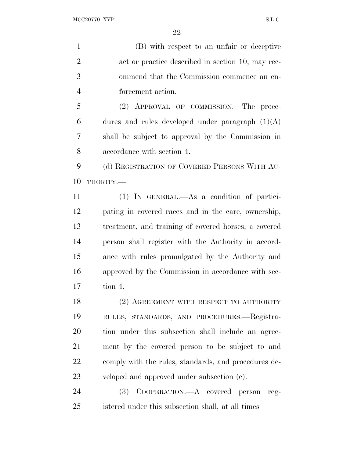(B) with respect to an unfair or deceptive 2 act or practice described in section 10, may rec- ommend that the Commission commence an en-forcement action.

 (2) APPROVAL OF COMMISSION.—The proce-6 dures and rules developed under paragraph  $(1)(A)$  shall be subject to approval by the Commission in accordance with section 4.

 (d) REGISTRATION OF COVERED PERSONS WITH AU-THORITY.—

 (1) IN GENERAL.—As a condition of partici- pating in covered races and in the care, ownership, treatment, and training of covered horses, a covered person shall register with the Authority in accord- ance with rules promulgated by the Authority and approved by the Commission in accordance with sec-tion 4.

18 (2) AGREEMENT WITH RESPECT TO AUTHORITY RULES, STANDARDS, AND PROCEDURES.—Registra- tion under this subsection shall include an agree- ment by the covered person to be subject to and 22 comply with the rules, standards, and procedures de-veloped and approved under subsection (c).

 (3) COOPERATION.—A covered person reg-istered under this subsection shall, at all times—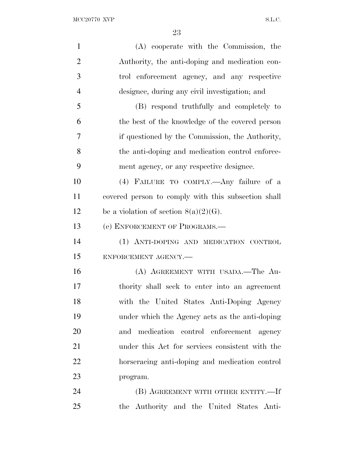| $\mathbf{1}$   | (A) cooperate with the Commission, the              |
|----------------|-----------------------------------------------------|
| $\overline{2}$ | Authority, the anti-doping and medication con-      |
| 3              | trol enforcement agency, and any respective         |
| $\overline{4}$ | designee, during any civil investigation; and       |
| 5              | (B) respond truthfully and completely to            |
| 6              | the best of the knowledge of the covered person     |
| 7              | if questioned by the Commission, the Authority,     |
| 8              | the anti-doping and medication control enforce-     |
| 9              | ment agency, or any respective designee.            |
| 10             | (4) FAILURE TO COMPLY.—Any failure of a             |
| 11             | covered person to comply with this subsection shall |
| 12             | be a violation of section $8(a)(2)(G)$ .            |
| 13             | (e) ENFORCEMENT OF PROGRAMS.—                       |
| 14             | (1) ANTI-DOPING AND MEDICATION CONTROL              |
| 15             | ENFORCEMENT AGENCY.-                                |
| 16             | (A) AGREEMENT WITH USADA.—The Au-                   |
| 17             | thority shall seek to enter into an agreement       |
| 18             | with the United States Anti-Doping Agency           |
| 19             | under which the Agency acts as the anti-doping      |
| 20             | and medication control enforcement agency           |
| 21             | under this Act for services consistent with the     |
| 22             | horseracing anti-doping and medication control      |
| 23             | program.                                            |
| 24             | (B) AGREEMENT WITH OTHER ENTITY.-If                 |
| 25             | the Authority and the United States Anti-           |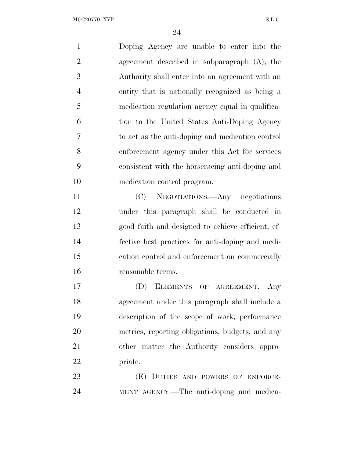Doping Agency are unable to enter into the agreement described in subparagraph (A), the Authority shall enter into an agreement with an entity that is nationally recognized as being a medication regulation agency equal in qualifica- tion to the United States Anti-Doping Agency to act as the anti-doping and medication control enforcement agency under this Act for services consistent with the horseracing anti-doping and medication control program. (C) NEGOTIATIONS.—Any negotiations under this paragraph shall be conducted in good faith and designed to achieve efficient, ef- fective best practices for anti-doping and medi- cation control and enforcement on commercially reasonable terms. (D) ELEMENTS OF AGREEMENT.—Any agreement under this paragraph shall include a description of the scope of work, performance metrics, reporting obligations, budgets, and any other matter the Authority considers appro- priate. 23 (E) DUTIES AND POWERS OF ENFORCE-MENT AGENCY.—The anti-doping and medica-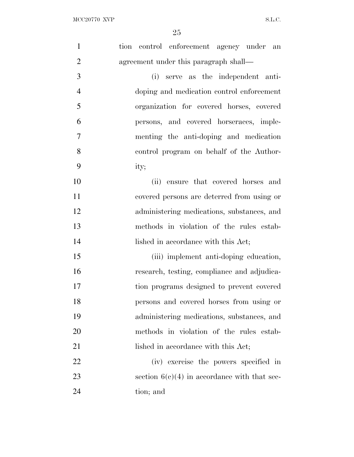| $\mathbf{1}$   | tion control enforcement agency under an       |
|----------------|------------------------------------------------|
| $\overline{2}$ | agreement under this paragraph shall—          |
| 3              | serve as the independent anti-<br>(i)          |
| $\overline{4}$ | doping and medication control enforcement      |
| 5              | organization for covered horses, covered       |
| 6              | persons, and covered horseraces, imple-        |
| $\overline{7}$ | menting the anti-doping and medication         |
| 8              | control program on behalf of the Author-       |
| 9              | ity;                                           |
| 10             | (ii) ensure that covered horses and            |
| 11             | covered persons are deterred from using or     |
| 12             | administering medications, substances, and     |
| 13             | methods in violation of the rules estab-       |
| 14             | lished in accordance with this Act;            |
| 15             | (iii) implement anti-doping education,         |
| 16             | research, testing, compliance and adjudica-    |
| 17             | tion programs designed to prevent covered      |
| 18             | persons and covered horses from using or       |
| 19             | administering medications, substances, and     |
| 20             | methods in violation of the rules estab-       |
| 21             | lished in accordance with this Act;            |
| 22             | (iv) exercise the powers specified in          |
| 23             | section $6(c)(4)$ in accordance with that sec- |
| 24             | tion; and                                      |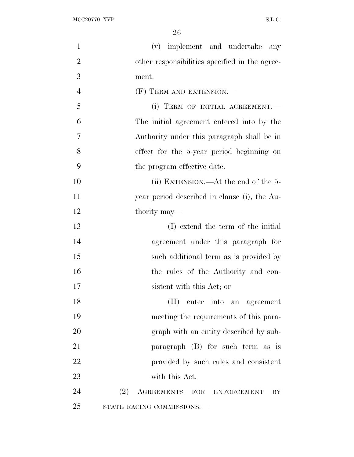| $\mathbf{1}$   | (v) implement and undertake<br>any             |
|----------------|------------------------------------------------|
| $\overline{2}$ | other responsibilities specified in the agree- |
| 3              | ment.                                          |
| $\overline{4}$ | (F) TERM AND EXTENSION.—                       |
| 5              | (i) TERM OF INITIAL AGREEMENT.-                |
| 6              | The initial agreement entered into by the      |
| 7              | Authority under this paragraph shall be in     |
| 8              | effect for the 5-year period beginning on      |
| 9              | the program effective date.                    |
| 10             | (ii) EXTENSION.—At the end of the $5-$         |
| 11             | year period described in clause (i), the Au-   |
| 12             | thority may—                                   |
| 13             | (I) extend the term of the initial             |
| 14             | agreement under this paragraph for             |
| 15             | such additional term as is provided by         |
| 16             | the rules of the Authority and con-            |
| 17             | sistent with this Act; or                      |
| 18             | (II) enter into an agreement                   |
| 19             | meeting the requirements of this para-         |
| 20             | graph with an entity described by sub-         |
| 21             | paragraph (B) for such term as is              |
| 22             | provided by such rules and consistent          |
| 23             | with this Act.                                 |
| 24             | (2) AGREEMENTS FOR<br><b>ENFORCEMENT</b><br>BY |
| 25             | STATE RACING COMMISSIONS.-                     |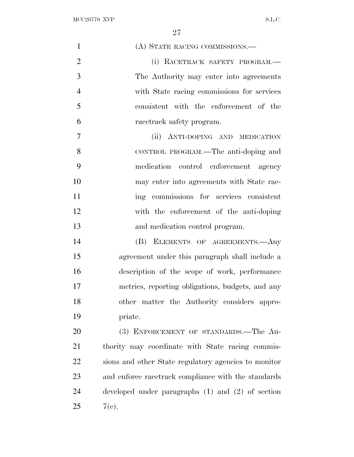| $\mathbf{1}$   | (A) STATE RACING COMMISSIONS.-                        |
|----------------|-------------------------------------------------------|
| $\overline{2}$ | (i) RACETRACK SAFETY PROGRAM.-                        |
| 3              | The Authority may enter into agreements               |
| $\overline{4}$ | with State racing commissions for services            |
| 5              | consistent with the enforcement of the                |
| 6              | racetrack safety program.                             |
| $\overline{7}$ | (ii) ANTI-DOPING AND MEDICATION                       |
| 8              | CONTROL PROGRAM.—The anti-doping and                  |
| 9              | medication control enforcement agency                 |
| 10             | may enter into agreements with State rac-             |
| 11             | ing commissions for services consistent               |
| 12             | with the enforcement of the anti-doping               |
| 13             | and medication control program.                       |
| 14             | (B) ELEMENTS OF AGREEMENTS. Any                       |
| 15             | agreement under this paragraph shall include a        |
| 16             | description of the scope of work, performance         |
| 17             | metrics, reporting obligations, budgets, and any      |
| 18             | other matter the Authority considers appro-           |
| 19             | priate.                                               |
| 20             | (3) ENFORCEMENT OF STANDARDS.-The Au-                 |
| 21             | thority may coordinate with State racing commis-      |
| 22             | sions and other State regulatory agencies to monitor  |
| 23             | and enforce racetrack compliance with the standards   |
| 24             | developed under paragraphs $(1)$ and $(2)$ of section |
| 25             | 7(e).                                                 |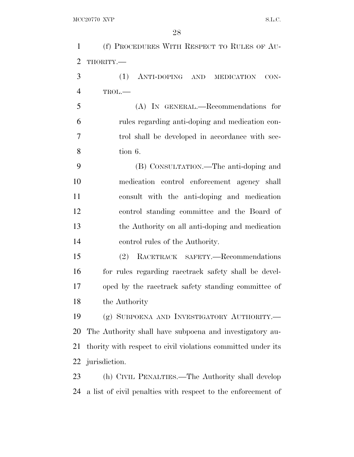| $\mathbf{1}$   | (f) PROCEDURES WITH RESPECT TO RULES OF AU-                  |
|----------------|--------------------------------------------------------------|
| $\overline{2}$ | THORITY.-                                                    |
| 3              | (1)<br>ANTI-DOPING AND MEDICATION<br>$CON-$                  |
| $\overline{4}$ | $TROL$ .                                                     |
| 5              | (A) IN GENERAL.—Recommendations for                          |
| 6              | rules regarding anti-doping and medication con-              |
| 7              | trol shall be developed in accordance with sec-              |
| 8              | tion 6.                                                      |
| 9              | (B) CONSULTATION.—The anti-doping and                        |
| 10             | medication control enforcement agency shall                  |
| 11             | consult with the anti-doping and medication                  |
| 12             | control standing committee and the Board of                  |
| 13             | the Authority on all anti-doping and medication              |
| 14             | control rules of the Authority.                              |
| 15             | (2) RACETRACK SAFETY.-Recommendations                        |
| 16             | for rules regarding racetrack safety shall be devel-         |
| 17             | oped by the racetrack safety standing committee of           |
| 18             | the Authority                                                |
| 19             | (g) SUBPOENA AND INVESTIGATORY AUTHORITY.                    |
| 20             | The Authority shall have subpoena and investigatory au-      |
| 21             | thority with respect to civil violations committed under its |
| 22             | jurisdiction.                                                |
| 23             | (h) CIVIL PENALTIES.—The Authority shall develop             |
| 24             | a list of civil penalties with respect to the enforcement of |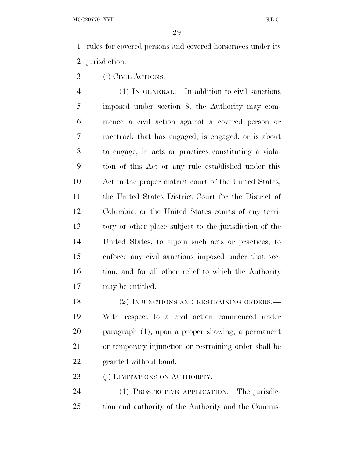rules for covered persons and covered horseraces under its jurisdiction.

(i) CIVIL ACTIONS.—

 (1) IN GENERAL.—In addition to civil sanctions imposed under section 8, the Authority may com- mence a civil action against a covered person or racetrack that has engaged, is engaged, or is about to engage, in acts or practices constituting a viola- tion of this Act or any rule established under this Act in the proper district court of the United States, the United States District Court for the District of Columbia, or the United States courts of any terri- tory or other place subject to the jurisdiction of the United States, to enjoin such acts or practices, to enforce any civil sanctions imposed under that sec-16 tion, and for all other relief to which the Authority may be entitled.

18 (2) INJUNCTIONS AND RESTRAINING ORDERS.— With respect to a civil action commenced under paragraph (1), upon a proper showing, a permanent or temporary injunction or restraining order shall be granted without bond.

23 (j) LIMITATIONS ON AUTHORITY.—

 (1) PROSPECTIVE APPLICATION.—The jurisdic-tion and authority of the Authority and the Commis-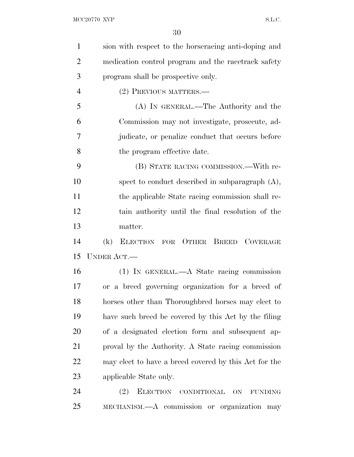| $\mathbf{1}$   | sion with respect to the horseracing anti-doping and  |
|----------------|-------------------------------------------------------|
| $\overline{2}$ | medication control program and the racetrack safety   |
| 3              | program shall be prospective only.                    |
| $\overline{4}$ | (2) PREVIOUS MATTERS.—                                |
| 5              | (A) IN GENERAL.—The Authority and the                 |
| 6              | Commission may not investigate, prosecute, ad-        |
| 7              | judicate, or penalize conduct that occurs before      |
| 8              | the program effective date.                           |
| 9              | (B) STATE RACING COMMISSION.—With re-                 |
| 10             | spect to conduct described in subparagraph $(A)$ ,    |
| 11             | the applicable State racing commission shall re-      |
| 12             | tain authority until the final resolution of the      |
| 13             | matter.                                               |
| 14             | ELECTION FOR OTHER BREED COVERAGE<br>(k)              |
| 15             | <b>UNDER ACT.—</b>                                    |
| 16             | $(1)$ In GENERAL.—A State racing commission           |
| 17             | or a breed governing organization for a breed of      |
| 18             | horses other than Thoroughbred horses may elect to    |
| 19             | have such breed be covered by this Act by the filing  |
| 20             | of a designated election form and subsequent ap-      |
| 21             | proval by the Authority. A State racing commission    |
| 22             | may elect to have a breed covered by this Act for the |
| 23             | applicable State only.                                |
| 24             | (2)<br>ELECTION CONDITIONAL ON<br><b>FUNDING</b>      |
| 25             | MECHANISM.—A commission or organization may           |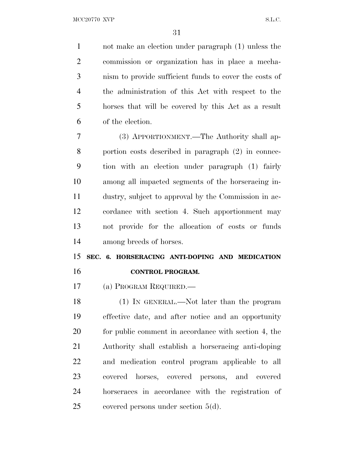not make an election under paragraph (1) unless the commission or organization has in place a mecha- nism to provide sufficient funds to cover the costs of the administration of this Act with respect to the horses that will be covered by this Act as a result of the election.

 (3) APPORTIONMENT.—The Authority shall ap- portion costs described in paragraph (2) in connec- tion with an election under paragraph (1) fairly among all impacted segments of the horseracing in- dustry, subject to approval by the Commission in ac- cordance with section 4. Such apportionment may not provide for the allocation of costs or funds among breeds of horses.

### **SEC. 6. HORSERACING ANTI-DOPING AND MEDICATION CONTROL PROGRAM.**

(a) PROGRAM REQUIRED.—

 (1) IN GENERAL.—Not later than the program effective date, and after notice and an opportunity 20 for public comment in accordance with section 4, the Authority shall establish a horseracing anti-doping and medication control program applicable to all covered horses, covered persons, and covered horseraces in accordance with the registration of covered persons under section 5(d).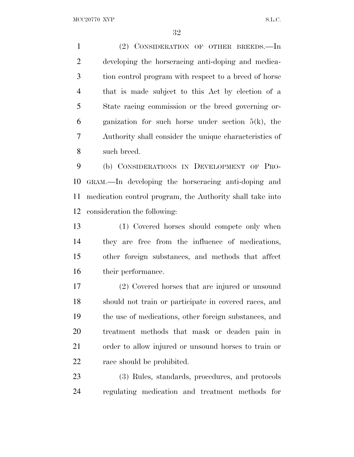MCC20770 XVP S.L.C.

 (2) CONSIDERATION OF OTHER BREEDS.—In developing the horseracing anti-doping and medica- tion control program with respect to a breed of horse that is made subject to this Act by election of a State racing commission or the breed governing or-6 ganization for such horse under section  $5(k)$ , the Authority shall consider the unique characteristics of such breed.

 (b) CONSIDERATIONS IN DEVELOPMENT OF PRO- GRAM.—In developing the horseracing anti-doping and medication control program, the Authority shall take into consideration the following:

 (1) Covered horses should compete only when they are free from the influence of medications, other foreign substances, and methods that affect their performance.

 (2) Covered horses that are injured or unsound should not train or participate in covered races, and the use of medications, other foreign substances, and treatment methods that mask or deaden pain in order to allow injured or unsound horses to train or 22 race should be prohibited.

 (3) Rules, standards, procedures, and protocols regulating medication and treatment methods for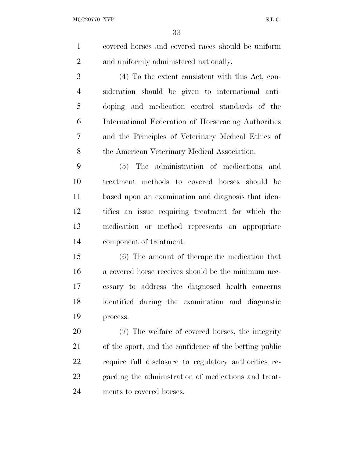MCC20770 XVP S.L.C.

 covered horses and covered races should be uniform and uniformly administered nationally.

 (4) To the extent consistent with this Act, con- sideration should be given to international anti- doping and medication control standards of the International Federation of Horseracing Authorities and the Principles of Veterinary Medical Ethics of 8 the American Veterinary Medical Association.

 (5) The administration of medications and treatment methods to covered horses should be based upon an examination and diagnosis that iden- tifies an issue requiring treatment for which the medication or method represents an appropriate component of treatment.

 (6) The amount of therapeutic medication that a covered horse receives should be the minimum nec- essary to address the diagnosed health concerns identified during the examination and diagnostic process.

 (7) The welfare of covered horses, the integrity of the sport, and the confidence of the betting public require full disclosure to regulatory authorities re- garding the administration of medications and treat-ments to covered horses.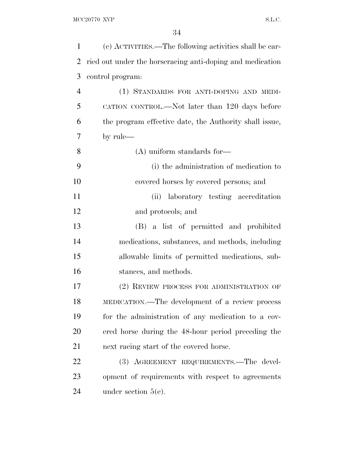| $\mathbf{1}$   | (c) ACTIVITIES.—The following activities shall be car-    |
|----------------|-----------------------------------------------------------|
| $\overline{2}$ | ried out under the horseracing anti-doping and medication |
| 3              | control program:                                          |
| $\overline{4}$ | (1) STANDARDS FOR ANTI-DOPING AND MEDI-                   |
| 5              | CATION CONTROL.—Not later than 120 days before            |
| 6              | the program effective date, the Authority shall issue,    |
| 7              | by rule—                                                  |
| 8              | $(A)$ uniform standards for—                              |
| 9              | (i) the administration of medication to                   |
| 10             | covered horses by covered persons; and                    |
| 11             | laboratory testing accreditation<br>(ii)                  |
| 12             | and protocols; and                                        |
| 13             | (B) a list of permitted and prohibited                    |
| 14             | medications, substances, and methods, including           |
| 15             | allowable limits of permitted medications, sub-           |
| 16             | stances, and methods.                                     |
| 17             | (2) REVIEW PROCESS FOR ADMINISTRATION OF                  |
| 18             | MEDICATION.—The development of a review process           |
| 19             | for the administration of any medication to a cov-        |
| 20             | ered horse during the 48-hour period preceding the        |
| 21             | next racing start of the covered horse.                   |
| 22             | (3) AGREEMENT REQUIREMENTS.—The devel-                    |
| 23             | opment of requirements with respect to agreements         |
| 24             | under section $5(e)$ .                                    |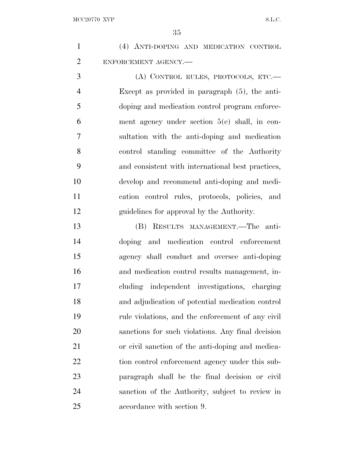| $\mathbf{1}$   | (4) ANTI-DOPING AND MEDICATION CONTROL            |
|----------------|---------------------------------------------------|
| $\overline{2}$ | ENFORCEMENT AGENCY.-                              |
| 3              | (A) CONTROL RULES, PROTOCOLS, ETC.—               |
| $\overline{4}$ | Except as provided in paragraph $(5)$ , the anti- |
| 5              | doping and medication control program enforce-    |
| 6              | ment agency under section $5(e)$ shall, in con-   |
| 7              | sultation with the anti-doping and medication     |
| 8              | control standing committee of the Authority       |
| 9              | and consistent with international best practices, |
| 10             | develop and recommend anti-doping and medi-       |
| 11             | cation control rules, protocols, policies, and    |
| 12             | guidelines for approval by the Authority.         |
| 13             | RESULTS MANAGEMENT. The anti-<br>(B)              |
| 14             | doping and medication control enforcement         |
| 15             | agency shall conduct and oversee anti-doping      |
| 16             | and medication control results management, in-    |
| 17             | cluding independent investigations, charging      |
| 18             | and adjudication of potential medication control  |
| 19             | rule violations, and the enforcement of any civil |
| 20             | sanctions for such violations. Any final decision |
| 21             | or civil sanction of the anti-doping and medica-  |
| 22             | tion control enforcement agency under this sub-   |
| 23             | paragraph shall be the final decision or civil    |
| 24             | sanction of the Authority, subject to review in   |
| 25             | accordance with section 9.                        |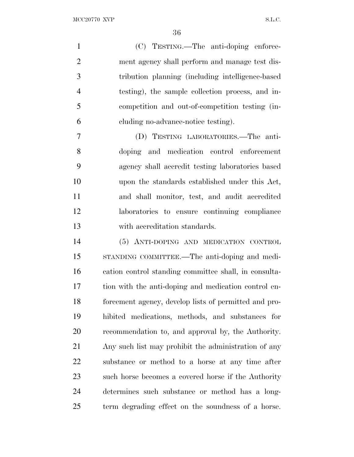MCC20770 XVP S.L.C.

|                | (C) TESTING.—The anti-doping enforce-             |
|----------------|---------------------------------------------------|
| 2              | ment agency shall perform and manage test dis-    |
| 3              | tribution planning (including intelligence-based) |
| $\overline{4}$ | testing), the sample collection process, and in-  |
| -5             | competition and out-of-competition testing (in-   |
| 6              | eluding no-advance-notice testing).               |
|                | TESTING LABORATORIES.—The anti-<br>(D)            |
| $\Omega$       |                                                   |

 doping and medication control enforcement agency shall accredit testing laboratories based upon the standards established under this Act, and shall monitor, test, and audit accredited laboratories to ensure continuing compliance with accreditation standards.

 (5) ANTI-DOPING AND MEDICATION CONTROL STANDING COMMITTEE.—The anti-doping and medi- cation control standing committee shall, in consulta- tion with the anti-doping and medication control en- forcement agency, develop lists of permitted and pro- hibited medications, methods, and substances for recommendation to, and approval by, the Authority. Any such list may prohibit the administration of any substance or method to a horse at any time after such horse becomes a covered horse if the Authority determines such substance or method has a long-term degrading effect on the soundness of a horse.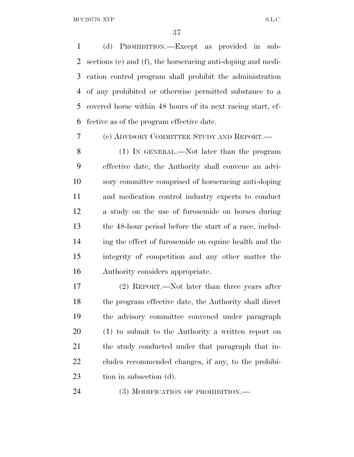(d) PROHIBITION.—Except as provided in sub- sections (e) and (f), the horseracing anti-doping and medi- cation control program shall prohibit the administration of any prohibited or otherwise permitted substance to a covered horse within 48 hours of its next racing start, ef-fective as of the program effective date.

(e) ADVISORY COMMITTEE STUDY AND REPORT.—

 (1) IN GENERAL.—Not later than the program effective date, the Authority shall convene an advi- sory committee comprised of horseracing anti-doping and medication control industry experts to conduct a study on the use of furosemide on horses during the 48-hour period before the start of a race, includ- ing the effect of furosemide on equine health and the integrity of competition and any other matter the Authority considers appropriate.

 (2) REPORT.—Not later than three years after the program effective date, the Authority shall direct the advisory committee convened under paragraph (1) to submit to the Authority a written report on the study conducted under that paragraph that in- cludes recommended changes, if any, to the prohibi-tion in subsection (d).

24 (3) MODIFICATION OF PROHIBITION.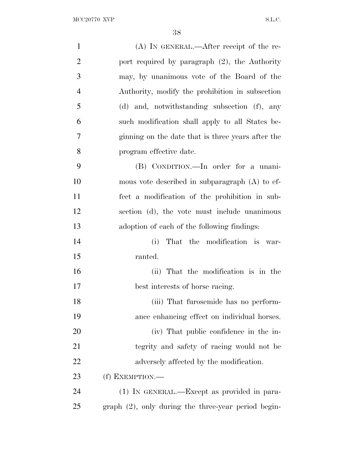$\begin{minipage}{.4\linewidth} \textbf{MCC} 20770 \textbf{ XVP} \end{minipage}$ 

| $\mathbf{1}$   | $(A)$ IN GENERAL.—After receipt of the re-             |
|----------------|--------------------------------------------------------|
| $\overline{2}$ | port required by paragraph $(2)$ , the Authority       |
| 3              | may, by unanimous vote of the Board of the             |
| $\overline{4}$ | Authority, modify the prohibition in subsection        |
| 5              | (d) and, notwithstanding subsection (f), any           |
| 6              | such modification shall apply to all States be-        |
| 7              | ginning on the date that is three years after the      |
| 8              | program effective date.                                |
| 9              | (B) CONDITION.—In order for a unani-                   |
| 10             | mous vote described in subparagraph $(A)$ to ef-       |
| 11             | fect a modification of the prohibition in sub-         |
| 12             | section (d), the vote must include unanimous           |
| 13             | adoption of each of the following findings:            |
| 14             | That the modification is war-<br>(i)                   |
| 15             | ranted.                                                |
| 16             | (ii) That the modification is in the                   |
| 17             | best interests of horse racing.                        |
| 18             | (iii) That furosemide has no perform-                  |
| 19             | ance enhancing effect on individual horses.            |
| 20             | (iv) That public confidence in the in-                 |
| 21             | tegrity and safety of racing would not be              |
| 22             | adversely affected by the modification.                |
| 23             | (f) EXEMPTION.—                                        |
| 24             | (1) IN GENERAL.—Except as provided in para-            |
| 25             | $graph (2)$ , only during the three-year period begin- |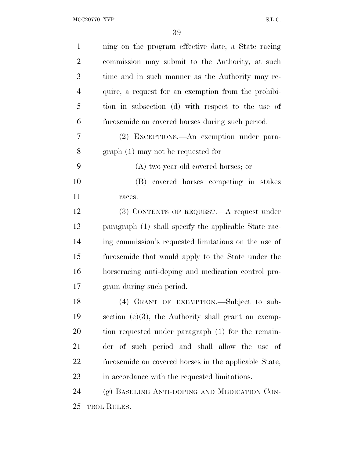| $\mathbf{1}$   | ning on the program effective date, a State racing     |
|----------------|--------------------------------------------------------|
| $\overline{2}$ | commission may submit to the Authority, at such        |
| 3              | time and in such manner as the Authority may re-       |
| $\overline{4}$ | quire, a request for an exemption from the prohibi-    |
| 5              | tion in subsection (d) with respect to the use of      |
| 6              | furosemide on covered horses during such period.       |
| 7              | (2) EXCEPTIONS.—An exemption under para-               |
| 8              | $graph(1)$ may not be requested for-                   |
| 9              | (A) two-year-old covered horses; or                    |
| 10             | (B) covered horses competing in stakes                 |
| 11             | races.                                                 |
| 12             | (3) CONTENTS OF REQUEST.—A request under               |
| 13             | paragraph (1) shall specify the applicable State rac-  |
| 14             | ing commission's requested limitations on the use of   |
| 15             | furosemide that would apply to the State under the     |
| 16             | horseracing anti-doping and medication control pro-    |
| 17             | gram during such period.                               |
| 18             | (4) GRANT OF EXEMPTION. Subject to sub-                |
| 19             | section $(e)(3)$ , the Authority shall grant an exemp- |
| 20             | tion requested under paragraph (1) for the remain-     |
| 21             | der of such period and shall allow the use of          |
| 22             | furosemide on covered horses in the applicable State,  |
| 23             | in accordance with the requested limitations.          |
| 24             | (g) BASELINE ANTI-DOPING AND MEDICATION CON-           |
| 25             | <b>TROL RULES.—</b>                                    |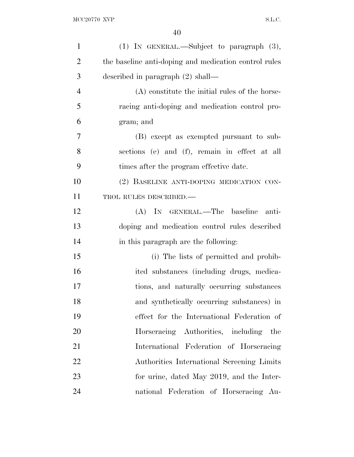| $\mathbf{1}$   | $(1)$ IN GENERAL.—Subject to paragraph $(3)$ ,        |
|----------------|-------------------------------------------------------|
| $\overline{2}$ | the baseline anti-doping and medication control rules |
| 3              | described in paragraph $(2)$ shall—                   |
| $\overline{4}$ | (A) constitute the initial rules of the horse-        |
| 5              | racing anti-doping and medication control pro-        |
| 6              | gram; and                                             |
| $\overline{7}$ | (B) except as exempted pursuant to sub-               |
| 8              | sections (e) and (f), remain in effect at all         |
| 9              | times after the program effective date.               |
| 10             | (2) BASELINE ANTI-DOPING MEDICATION CON-              |
| 11             | TROL RULES DESCRIBED.-                                |
| 12             | (A) IN GENERAL.—The baseline<br>anti-                 |
| 13             | doping and medication control rules described         |
| 14             | in this paragraph are the following:                  |
| 15             | (i) The lists of permitted and prohib-                |
| 16             | ited substances (including drugs, medica-             |
| 17             | tions, and naturally occurring substances             |
| 18             | and synthetically occurring substances) in            |
| 19             | effect for the International Federation of            |
| 20             | Horseracing Authorities, including the                |
| 21             | International Federation of Horseracing               |
| 22             | Authorities International Screening Limits            |
| 23             | for urine, dated May 2019, and the Inter-             |
| 24             | national Federation of Horseracing Au-                |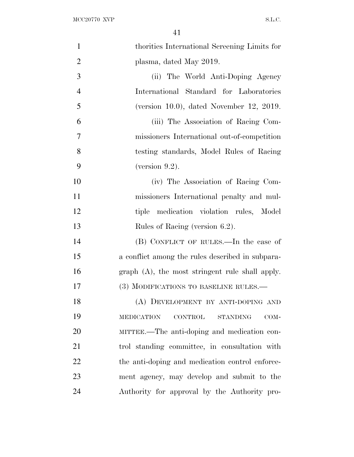| $\mathbf{1}$   | thorities International Screening Limits for                   |
|----------------|----------------------------------------------------------------|
| $\overline{2}$ | plasma, dated May 2019.                                        |
| 3              | (ii) The World Anti-Doping Agency                              |
| $\overline{4}$ | International Standard for Laboratories                        |
| 5              | (version 10.0), dated November 12, 2019.                       |
| 6              | (iii) The Association of Racing Com-                           |
| 7              | missioners International out-of-competition                    |
| 8              | testing standards, Model Rules of Racing                       |
| 9              | (version $9.2$ ).                                              |
| 10             | (iv) The Association of Racing Com-                            |
| 11             | missioners International penalty and mul-                      |
| 12             | tiple medication violation rules, Model                        |
| 13             | Rules of Racing (version 6.2).                                 |
| 14             | (B) CONFLICT OF RULES.—In the case of                          |
| 15             | a conflict among the rules described in subpara-               |
| 16             | graph $(A)$ , the most stringent rule shall apply.             |
| 17             | (3) MODIFICATIONS TO BASELINE RULES.—                          |
| 18             | (A) DEVELOPMENT BY ANTI-DOPING AND                             |
| 19             | <b>MEDICATION</b><br><b>CONTROL</b><br><b>STANDING</b><br>COM- |
| 20             | MITTEE.—The anti-doping and medication con-                    |
| 21             | trol standing committee, in consultation with                  |
| 22             | the anti-doping and medication control enforce-                |
| 23             |                                                                |
|                | ment agency, may develop and submit to the                     |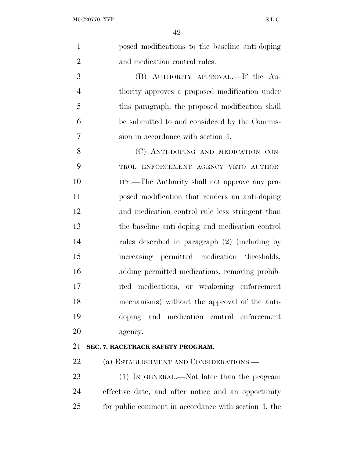|                | 42                                              |
|----------------|-------------------------------------------------|
| $\mathbf{1}$   | posed modifications to the baseline anti-doping |
| $\overline{2}$ | and medication control rules.                   |
| 3              | (B) AUTHORITY APPROVAL.—If the Au-              |
| $\overline{4}$ | thority approves a proposed modification under  |
| 5              | this paragraph, the proposed modification shall |
| 6              | be submitted to and considered by the Commis-   |
| $\overline{7}$ | sion in accordance with section 4.              |
| 8              | (C) ANTI-DOPING AND MEDICATION CON-             |
| 9              | TROL ENFORCEMENT AGENCY VETO AUTHOR-            |
| 10             | ITY.—The Authority shall not approve any pro-   |
| 11             | posed modification that renders an anti-doping  |
| 12             | and medication control rule less stringent than |
| 13             | the baseline anti-doping and medication control |
| 14             | rules described in paragraph (2) (including by  |
| 15             | increasing permitted medication thresholds,     |
| 16             | adding permitted medications, removing prohib-  |
| 17             | ited medications, or weakening enforcement      |
| 18             | mechanisms) without the approval of the anti-   |
| 19             | doping and medication control enforcement       |
| 20             | agency.                                         |
| 21             | SEC. 7. RACETRACK SAFETY PROGRAM.               |
| 22             | (a) ESTABLISHMENT AND CONSIDERATIONS.           |

 (1) IN GENERAL.—Not later than the program effective date, and after notice and an opportunity for public comment in accordance with section 4, the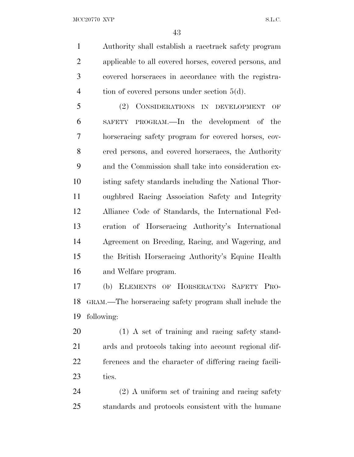MCC20770 XVP S.L.C.

 Authority shall establish a racetrack safety program applicable to all covered horses, covered persons, and covered horseraces in accordance with the registra-4 tion of covered persons under section 5(d).

 (2) CONSIDERATIONS IN DEVELOPMENT OF SAFETY PROGRAM.—In the development of the horseracing safety program for covered horses, cov- ered persons, and covered horseraces, the Authority and the Commission shall take into consideration ex- isting safety standards including the National Thor- oughbred Racing Association Safety and Integrity Alliance Code of Standards, the International Fed- eration of Horseracing Authority's International Agreement on Breeding, Racing, and Wagering, and the British Horseracing Authority's Equine Health and Welfare program.

 (b) ELEMENTS OF HORSERACING SAFETY PRO- GRAM.—The horseracing safety program shall include the following:

 (1) A set of training and racing safety stand- ards and protocols taking into account regional dif- ferences and the character of differing racing facili-ties.

 (2) A uniform set of training and racing safety standards and protocols consistent with the humane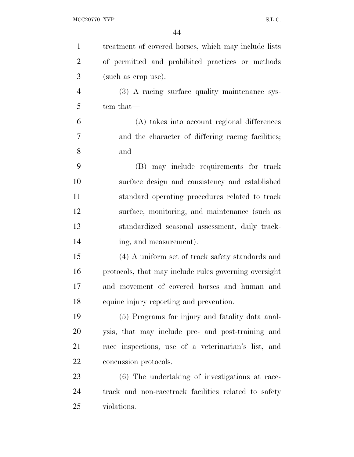| $\mathbf{1}$   | treatment of covered horses, which may include lists  |
|----------------|-------------------------------------------------------|
| $\overline{2}$ | of permitted and prohibited practices or methods      |
| 3              | (such as crop use).                                   |
| $\overline{4}$ | (3) A racing surface quality maintenance sys-         |
| 5              | tem that—                                             |
| 6              | (A) takes into account regional differences           |
| 7              | and the character of differing racing facilities;     |
| 8              | and                                                   |
| 9              | (B) may include requirements for track                |
| 10             | surface design and consistency and established        |
| 11             | standard operating procedures related to track        |
| 12             | surface, monitoring, and maintenance (such as         |
| 13             | standardized seasonal assessment, daily track-        |
| 14             | ing, and measurement).                                |
| 15             | (4) A uniform set of track safety standards and       |
| 16             | protocols, that may include rules governing oversight |
| 17             | and movement of covered horses and human and          |
| 18             | equine injury reporting and prevention.               |
| 19             | (5) Programs for injury and fatality data anal-       |
| 20             | ysis, that may include pre- and post-training and     |
| 21             | race inspections, use of a veterinarian's list, and   |
| 22             | concussion protocols.                                 |
| 23             | (6) The undertaking of investigations at race-        |
| 24             | track and non-racetrack facilities related to safety  |
| 25             | violations.                                           |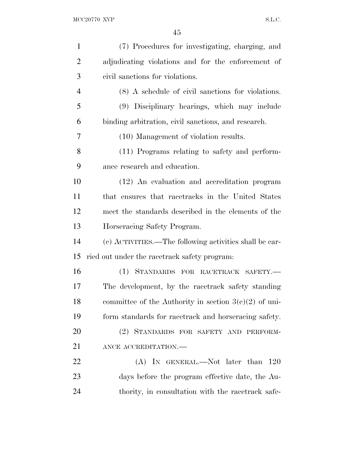| $\mathbf{1}$   | (7) Procedures for investigating, charging, and         |
|----------------|---------------------------------------------------------|
| $\overline{2}$ | adjudicating violations and for the enforcement of      |
| 3              | civil sanctions for violations.                         |
| $\overline{4}$ | (8) A schedule of civil sanctions for violations.       |
| 5              | (9) Disciplinary hearings, which may include            |
| 6              | binding arbitration, civil sanctions, and research.     |
| 7              | (10) Management of violation results.                   |
| 8              | (11) Programs relating to safety and perform-           |
| 9              | ance research and education.                            |
| 10             | (12) An evaluation and accreditation program            |
| 11             | that ensures that racetracks in the United States       |
| 12             | meet the standards described in the elements of the     |
| 13             | Horseracing Safety Program.                             |
| 14             | (c) ACTIVITIES.—The following activities shall be car-  |
| 15             | ried out under the racetrack safety program:            |
| 16             | (1) STANDARDS FOR RACETRACK SAFETY.                     |
| 17             | The development, by the racetrack safety standing       |
| 18             | committee of the Authority in section $3(e)(2)$ of uni- |
| 19             | form standards for racetrack and horseracing safety.    |
| 20             | (2) STANDARDS FOR SAFETY AND PERFORM-                   |
| 21             | ANCE ACCREDITATION.                                     |
| 22             | (A) IN GENERAL.—Not later than<br><b>120</b>            |
| 23             | days before the program effective date, the Au-         |
|                |                                                         |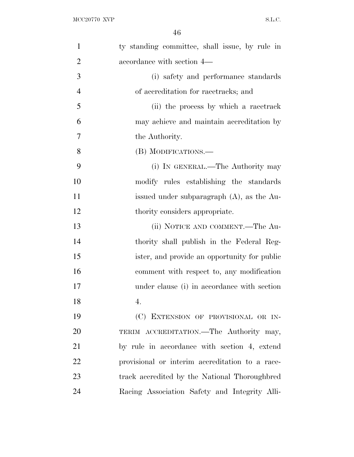| $\mathbf{1}$   | ty standing committee, shall issue, by rule in  |
|----------------|-------------------------------------------------|
| $\overline{2}$ | accordance with section 4—                      |
| 3              | (i) safety and performance standards            |
| $\overline{4}$ | of accreditation for racetracks; and            |
| 5              | (ii) the process by which a racetrack           |
| 6              | may achieve and maintain accreditation by       |
| 7              | the Authority.                                  |
| 8              | (B) MODIFICATIONS.—                             |
| 9              | (i) IN GENERAL.—The Authority may               |
| 10             | modify rules establishing the standards         |
| 11             | issued under subparagraph $(A)$ , as the Au-    |
| 12             | thority considers appropriate.                  |
| 13             | (ii) NOTICE AND COMMENT.—The Au-                |
| 14             | thority shall publish in the Federal Reg-       |
| 15             | ister, and provide an opportunity for public    |
| 16             | comment with respect to, any modification       |
| 17             | under clause (i) in accordance with section     |
| 18             | 4.                                              |
| 19             | (C) EXTENSION OF PROVISIONAL OR IN-             |
| 20             | TERIM ACCREDITATION.—The Authority may,         |
| 21             | by rule in accordance with section 4, extend    |
| 22             | provisional or interim accreditation to a race- |
| 23             | track accredited by the National Thoroughbred   |
| 24             | Racing Association Safety and Integrity Alli-   |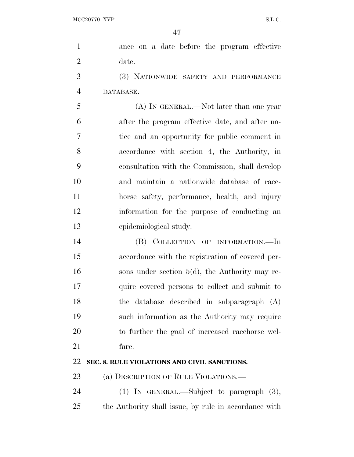| $\mathbf{1}$   | ance on a date before the program effective           |
|----------------|-------------------------------------------------------|
| $\overline{2}$ | date.                                                 |
| 3              | (3) NATIONWIDE SAFETY AND PERFORMANCE                 |
| $\overline{4}$ | DATABASE.                                             |
| 5              | (A) IN GENERAL.—Not later than one year               |
| 6              | after the program effective date, and after no-       |
| 7              | tice and an opportunity for public comment in         |
| 8              | accordance with section 4, the Authority, in          |
| 9              | consultation with the Commission, shall develop       |
| 10             | and maintain a nationwide database of race-           |
| 11             | horse safety, performance, health, and injury         |
| 12             | information for the purpose of conducting an          |
| 13             | epidemiological study.                                |
| 14             | (B) COLLECTION OF INFORMATION.—In                     |
| 15             | accordance with the registration of covered per-      |
| 16             | sons under section $5(d)$ , the Authority may re-     |
| 17             | quire covered persons to collect and submit to        |
| 18             | the database described in subparagraph (A)            |
| 19             | such information as the Authority may require         |
| <b>20</b>      | to further the goal of increased racehorse wel-       |
| 21             | fare.                                                 |
| 22             | SEC. 8. RULE VIOLATIONS AND CIVIL SANCTIONS.          |
| 23             | (a) DESCRIPTION OF RULE VIOLATIONS.—                  |
| 24             | $(1)$ IN GENERAL.—Subject to paragraph $(3)$ ,        |
| 25             | the Authority shall issue, by rule in accordance with |
|                |                                                       |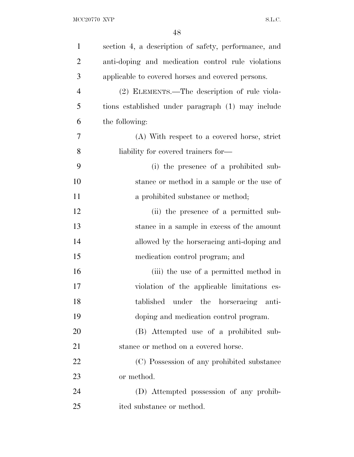| $\mathbf{1}$   | section 4, a description of safety, performance, and |
|----------------|------------------------------------------------------|
| $\overline{2}$ | anti-doping and medication control rule violations   |
| 3              | applicable to covered horses and covered persons.    |
| 4              | (2) ELEMENTS.—The description of rule viola-         |
| 5              | tions established under paragraph (1) may include    |
| 6              | the following:                                       |
| 7              | (A) With respect to a covered horse, strict          |
| 8              | liability for covered trainers for—                  |
| 9              | (i) the presence of a prohibited sub-                |
| 10             | stance or method in a sample or the use of           |
| 11             | a prohibited substance or method;                    |
| 12             | (ii) the presence of a permitted sub-                |
| 13             | stance in a sample in excess of the amount           |
| 14             | allowed by the horseracing anti-doping and           |
| 15             | medication control program; and                      |
| 16             | (iii) the use of a permitted method in               |
| 17             | violation of the applicable limitations es-          |
| 18             | tablished under the horseracing anti-                |
| 19             | doping and medication control program.               |
| 20             | (B) Attempted use of a prohibited sub-               |
| 21             | stance or method on a covered horse.                 |
| 22             | (C) Possession of any prohibited substance           |
| 23             | or method.                                           |
| 24             | (D) Attempted possession of any prohib-              |
| 25             | ited substance or method.                            |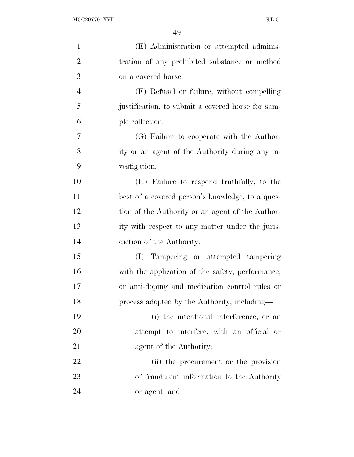| (E) Administration or attempted adminis-          |
|---------------------------------------------------|
| tration of any prohibited substance or method     |
| on a covered horse.                               |
| (F) Refusal or failure, without compelling        |
| justification, to submit a covered horse for sam- |
| ple collection.                                   |
| (G) Failure to cooperate with the Author-         |
| ity or an agent of the Authority during any in-   |
| vestigation.                                      |
| (H) Failure to respond truthfully, to the         |
| best of a covered person's knowledge, to a ques-  |
| tion of the Authority or an agent of the Author-  |
| ity with respect to any matter under the juris-   |
| diction of the Authority.                         |
| (I) Tampering or attempted tampering              |
| with the application of the safety, performance,  |
| or anti-doping and medication control rules or    |
| process adopted by the Authority, including—      |
| (i) the intentional interference, or an           |
| attempt to interfere, with an official or         |
| agent of the Authority;                           |
| (ii) the procurement or the provision             |
| of fraudulent information to the Authority        |
| or agent; and                                     |
|                                                   |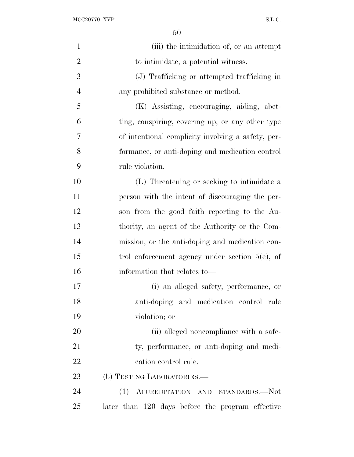$\begin{minipage}{.4\linewidth} \textbf{MCC} 20770 \textbf{ XVP} \end{minipage}$ 

| $\mathbf{1}$   | (iii) the intimidation of, or an attempt           |
|----------------|----------------------------------------------------|
| $\overline{2}$ | to intimidate, a potential witness.                |
| 3              | (J) Trafficking or attempted trafficking in        |
| $\overline{4}$ | any prohibited substance or method.                |
| 5              | (K) Assisting, encouraging, aiding, abet-          |
| 6              | ting, conspiring, covering up, or any other type   |
| 7              | of intentional complicity involving a safety, per- |
| 8              | formance, or anti-doping and medication control    |
| 9              | rule violation.                                    |
| 10             | (L) Threatening or seeking to intimidate a         |
| 11             | person with the intent of discouraging the per-    |
| 12             | son from the good faith reporting to the Au-       |
| 13             | thority, an agent of the Authority or the Com-     |
| 14             | mission, or the anti-doping and medication con-    |
| 15             | trol enforcement agency under section $5(e)$ , of  |
| 16             | information that relates to—                       |
| 17             | (i) an alleged safety, performance, or             |
| 18             | anti-doping and medication control rule            |
| 19             | violation; or                                      |
| 20             | (ii) alleged noncompliance with a safe-            |
| 21             | ty, performance, or anti-doping and medi-          |
| 22             | cation control rule.                               |
| 23             | (b) TESTING LABORATORIES.—                         |
| 24             | (1) ACCREDITATION AND STANDARDS.-Not               |
| 25             | later than 120 days before the program effective   |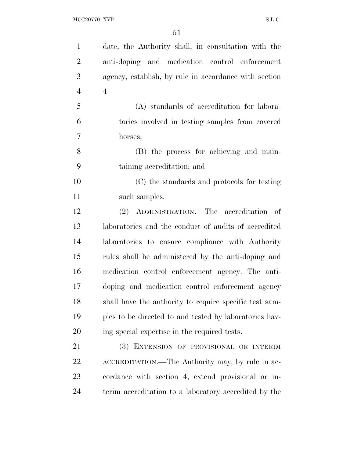| $\mathbf{1}$   | date, the Authority shall, in consultation with the    |
|----------------|--------------------------------------------------------|
| $\overline{2}$ | anti-doping and medication control enforcement         |
| 3              | agency, establish, by rule in accordance with section  |
| $\overline{4}$ | $4-$                                                   |
| 5              | (A) standards of accreditation for labora-             |
| 6              | tories involved in testing samples from covered        |
| 7              | horses;                                                |
| 8              | (B) the process for achieving and main-                |
| 9              | taining accreditation; and                             |
| 10             | (C) the standards and protocols for testing            |
| 11             | such samples.                                          |
| 12             | (2) ADMINISTRATION.—The accreditation of               |
| 13             | laboratories and the conduct of audits of accredited   |
| 14             | laboratories to ensure compliance with Authority       |
| 15             | rules shall be administered by the anti-doping and     |
| 16             | medication control enforcement agency. The anti-       |
| 17             | doping and medication control enforcement agency       |
| 18             | shall have the authority to require specific test sam- |
| 19             | ples to be directed to and tested by laboratories hav- |
| 20             | ing special expertise in the required tests.           |
| 21             | EXTENSION OF PROVISIONAL OR INTERIM<br>(3)             |
| 22             | ACCREDITATION.—The Authority may, by rule in ac-       |
| 23             | cordance with section 4, extend provisional or in-     |
| 24             | terim accreditation to a laboratory accredited by the  |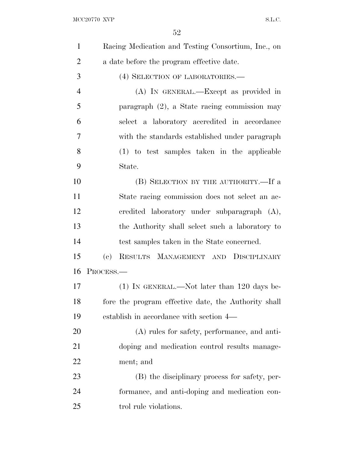$\begin{minipage}{.4\linewidth} \textbf{MCC} 20770 \textbf{ XVP} \end{minipage}$ 

| $\mathbf{1}$   | Racing Medication and Testing Consortium, Inc., on                |
|----------------|-------------------------------------------------------------------|
| $\overline{2}$ | a date before the program effective date.                         |
| 3              | (4) SELECTION OF LABORATORIES.-                                   |
| $\overline{4}$ | (A) IN GENERAL.—Except as provided in                             |
| 5              | paragraph (2), a State racing commission may                      |
| 6              | select a laboratory accredited in accordance                      |
| 7              | with the standards established under paragraph                    |
| 8              | (1) to test samples taken in the applicable                       |
| 9              | State.                                                            |
| 10             | (B) SELECTION BY THE AUTHORITY.—If a                              |
| 11             | State racing commission does not select an ac-                    |
| 12             | credited laboratory under subparagraph (A),                       |
| 13             | the Authority shall select such a laboratory to                   |
| 14             | test samples taken in the State concerned.                        |
| 15             | RESULTS MANAGEMENT AND DISCIPLINARY<br>$\left( \mathrm{e}\right)$ |
| 16             | PROCESS.-                                                         |
| 17             | $(1)$ IN GENERAL.—Not later than 120 days be-                     |
| 18             | fore the program effective date, the Authority shall              |
| 19             | establish in accordance with section 4—                           |
| 20             | (A) rules for safety, performance, and anti-                      |
| 21             | doping and medication control results manage-                     |
| 22             | ment; and                                                         |
| 23             | (B) the disciplinary process for safety, per-                     |
| 24             | formance, and anti-doping and medication con-                     |
| 25             | trol rule violations.                                             |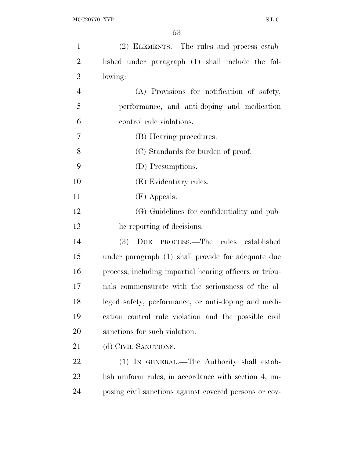| $\mathbf{1}$   | (2) ELEMENTS.—The rules and process estab-              |
|----------------|---------------------------------------------------------|
| $\overline{2}$ | lished under paragraph (1) shall include the fol-       |
| 3              | lowing:                                                 |
| $\overline{4}$ | (A) Provisions for notification of safety,              |
| 5              | performance, and anti-doping and medication             |
| 6              | control rule violations.                                |
| 7              | (B) Hearing procedures.                                 |
| 8              | (C) Standards for burden of proof.                      |
| 9              | (D) Presumptions.                                       |
| 10             | (E) Evidentiary rules.                                  |
| 11             | (F) Appeals.                                            |
| 12             | (G) Guidelines for confidentiality and pub-             |
| 13             | lic reporting of decisions.                             |
| 14             | DUE PROCESS.—The rules established<br>(3)               |
| 15             | under paragraph (1) shall provide for adequate due      |
| 16             | process, including impartial hearing officers or tribu- |
| 17             | nals commensurate with the seriousness of the al-       |
| 18             | leged safety, performance, or anti-doping and medi-     |
| 19             | cation control rule violation and the possible civil    |
| 20             | sanctions for such violation.                           |
| 21             | (d) CIVIL SANCTIONS.—                                   |
| 22             | (1) IN GENERAL.—The Authority shall estab-              |
| 23             | lish uniform rules, in accordance with section 4, im-   |
| 24             | posing civil sanctions against covered persons or cov-  |
|                |                                                         |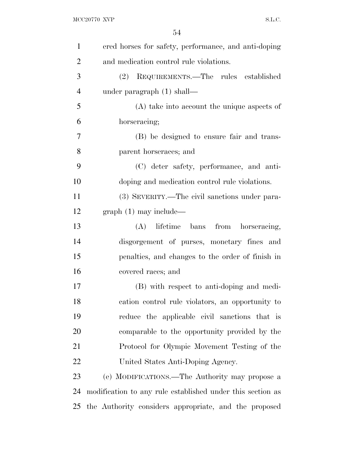| $\mathbf{1}$   | ered horses for safety, performance, and anti-doping       |
|----------------|------------------------------------------------------------|
| $\overline{2}$ | and medication control rule violations.                    |
| 3              | (2) REQUIREMENTS.—The rules established                    |
| $\overline{4}$ | under paragraph $(1)$ shall—                               |
| 5              | $(A)$ take into account the unique aspects of              |
| 6              | horseracing;                                               |
| 7              | (B) be designed to ensure fair and trans-                  |
| 8              | parent horseraces; and                                     |
| 9              | (C) deter safety, performance, and anti-                   |
| 10             | doping and medication control rule violations.             |
| 11             | (3) SEVERITY.—The civil sanctions under para-              |
| 12             | $graph(1)$ may include—                                    |
| 13             | lifetime bans from horseracing,<br>(A)                     |
| 14             | disgorgement of purses, monetary fines and                 |
| 15             | penalties, and changes to the order of finish in           |
| 16             | covered races; and                                         |
| 17             | (B) with respect to anti-doping and medi-                  |
| 18             | cation control rule violators, an opportunity to           |
| 19             | reduce the applicable civil sanctions that is              |
| 20             | comparable to the opportunity provided by the              |
| 21             | Protocol for Olympic Movement Testing of the               |
| 22             | United States Anti-Doping Agency.                          |
| 23             | (e) MODIFICATIONS.—The Authority may propose a             |
| 24             | modification to any rule established under this section as |
| 25             | the Authority considers appropriate, and the proposed      |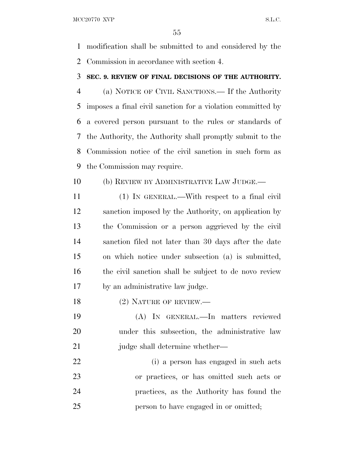MCC20770 XVP S.L.C.

 modification shall be submitted to and considered by the Commission in accordance with section 4.

#### **SEC. 9. REVIEW OF FINAL DECISIONS OF THE AUTHORITY.**

 (a) NOTICE OF CIVIL SANCTIONS.— If the Authority imposes a final civil sanction for a violation committed by a covered person pursuant to the rules or standards of the Authority, the Authority shall promptly submit to the Commission notice of the civil sanction in such form as the Commission may require.

(b) REVIEW BY ADMINISTRATIVE LAW JUDGE.—

 (1) IN GENERAL.—With respect to a final civil sanction imposed by the Authority, on application by the Commission or a person aggrieved by the civil sanction filed not later than 30 days after the date on which notice under subsection (a) is submitted, the civil sanction shall be subject to de novo review by an administrative law judge.

18 (2) NATURE OF REVIEW.—

 (A) IN GENERAL.—In matters reviewed under this subsection, the administrative law 21 judge shall determine whether—

 (i) a person has engaged in such acts or practices, or has omitted such acts or practices, as the Authority has found the person to have engaged in or omitted;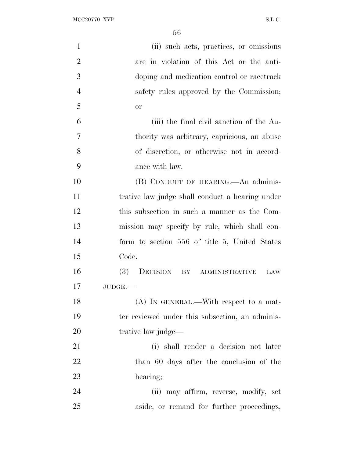| $\mathbf{1}$   | (ii) such acts, practices, or omissions         |
|----------------|-------------------------------------------------|
| $\overline{2}$ | are in violation of this Act or the anti-       |
| 3              | doping and medication control or racetrack      |
| $\overline{4}$ | safety rules approved by the Commission;        |
| 5              | <b>or</b>                                       |
| 6              | (iii) the final civil sanction of the Au-       |
| $\overline{7}$ | thority was arbitrary, capricious, an abuse     |
| 8              | of discretion, or otherwise not in accord-      |
| 9              | ance with law.                                  |
| 10             | (B) CONDUCT OF HEARING.—An adminis-             |
| 11             | trative law judge shall conduct a hearing under |
| 12             | this subsection in such a manner as the Com-    |
| 13             | mission may specify by rule, which shall con-   |
| 14             | form to section 556 of title 5, United States   |
| 15             | Code.                                           |
| 16             | (3)<br>DECISION BY ADMINISTRATIVE<br>LAW        |
| 17             | $JUDGE$ .                                       |
| 18             | $(A)$ In GENERAL.—With respect to a mat-        |
| 19             | ter reviewed under this subsection, an adminis- |
| 20             | trative law judge—                              |
| 21             | (i) shall render a decision not later           |
| 22             | than 60 days after the conclusion of the        |
| 23             | hearing;                                        |
| 24             | (ii) may affirm, reverse, modify, set           |
| 25             | aside, or remand for further proceedings,       |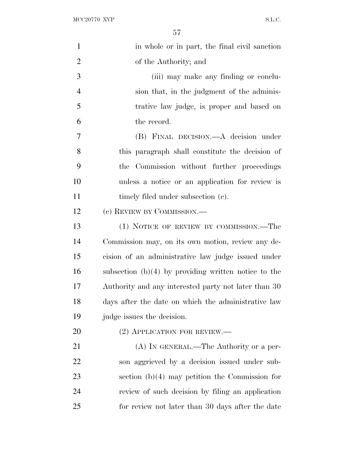| $\mathbf{1}$   | in whole or in part, the final civil sanction          |
|----------------|--------------------------------------------------------|
| $\overline{2}$ | of the Authority; and                                  |
| 3              | (iii) may make any finding or conclu-                  |
| $\overline{4}$ | sion that, in the judgment of the adminis-             |
| 5              | trative law judge, is proper and based on              |
| 6              | the record.                                            |
| 7              | (B) FINAL DECISION.—A decision under                   |
| 8              | this paragraph shall constitute the decision of        |
| 9              | Commission without further proceedings<br>the.         |
| 10             | unless a notice or an application for review is        |
| 11             | timely filed under subsection (c).                     |
| 12             | (c) REVIEW BY COMMISSION.—                             |
| 13             | (1) NOTICE OF REVIEW BY COMMISSION.—The                |
| 14             | Commission may, on its own motion, review any de-      |
| 15             | cision of an administrative law judge issued under     |
| 16             | subsection $(b)(4)$ by providing written notice to the |
| 17             | Authority and any interested party not later than 30   |
| 18             | days after the date on which the administrative law    |
| 19             | judge issues the decision.                             |
| 20             | $(2)$ APPLICATION FOR REVIEW.—                         |
| 21             | (A) IN GENERAL.—The Authority or a per-                |
| 22             | son aggrieved by a decision issued under sub-          |
| 23             | section $(b)(4)$ may petition the Commission for       |
| 24             | review of such decision by filing an application       |
| 25             | for review not later than 30 days after the date       |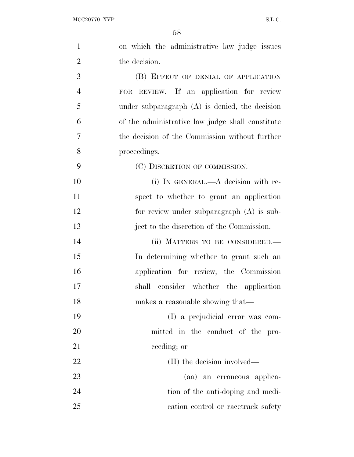| $\mathbf{1}$   | on which the administrative law judge issues     |
|----------------|--------------------------------------------------|
| $\overline{2}$ | the decision.                                    |
| 3              | (B) EFFECT OF DENIAL OF APPLICATION              |
| $\overline{4}$ | FOR REVIEW.—If an application for review         |
| 5              | under subparagraph $(A)$ is denied, the decision |
| 6              | of the administrative law judge shall constitute |
| 7              | the decision of the Commission without further   |
| 8              | proceedings.                                     |
| 9              | (C) DISCRETION OF COMMISSION.—                   |
| 10             | (i) IN GENERAL.—A decision with re-              |
| 11             | spect to whether to grant an application         |
| 12             | for review under subparagraph (A) is sub-        |
| 13             | ject to the discretion of the Commission.        |
| 14             | (ii) MATTERS TO BE CONSIDERED.-                  |
| 15             | In determining whether to grant such an          |
| 16             | application for review, the Commission           |
| 17             | shall consider whether the application           |
| 18             | makes a reasonable showing that—                 |
| 19             | (I) a prejudicial error was com-                 |
| 20             | mitted in the conduct of the pro-                |
| 21             | ceeding; or                                      |
| 22             | (II) the decision involved—                      |
| 23             | (aa) an erroneous applica-                       |
| 24             | tion of the anti-doping and medi-                |
| 25             | cation control or racetrack safety               |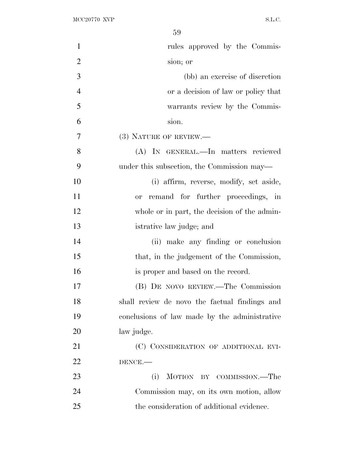| $\mathbf{1}$   | rules approved by the Commis-                 |
|----------------|-----------------------------------------------|
| $\overline{2}$ | sion; or                                      |
| 3              | (bb) an exercise of discretion                |
| $\overline{4}$ | or a decision of law or policy that           |
| 5              | warrants review by the Commis-                |
| 6              | sion.                                         |
| 7              | $(3)$ NATURE OF REVIEW.—                      |
| 8              | (A) IN GENERAL.—In matters reviewed           |
| 9              | under this subsection, the Commission may—    |
| 10             | (i) affirm, reverse, modify, set aside,       |
| 11             | remand for further proceedings, in<br>or      |
| 12             | whole or in part, the decision of the admin-  |
| 13             | istrative law judge; and                      |
| 14             | (ii) make any finding or conclusion           |
| 15             | that, in the judgement of the Commission,     |
| 16             | is proper and based on the record.            |
| 17             | (B) DE NOVO REVIEW.—The Commission            |
| 18             | shall review de novo the factual findings and |
| 19             | conclusions of law made by the administrative |
| 20             | law judge.                                    |
| 21             | (C) CONSIDERATION OF ADDITIONAL EVI-          |
| 22             | DENCE.                                        |
| 23             | (i)<br>MOTION BY COMMISSION.—The              |
| 24             | Commission may, on its own motion, allow      |
| 25             | the consideration of additional evidence.     |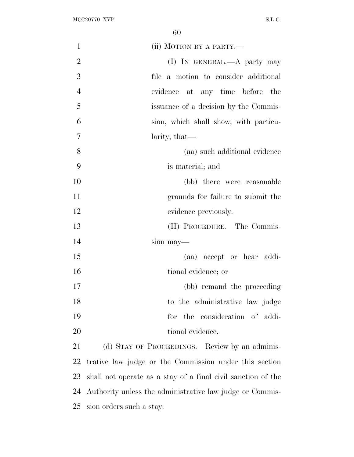| 1              | (ii) MOTION BY A PARTY.—                                     |
|----------------|--------------------------------------------------------------|
| $\overline{2}$ | (I) IN GENERAL.—A party may                                  |
| 3              | file a motion to consider additional                         |
| $\overline{4}$ | evidence at any time before the                              |
| 5              | issuance of a decision by the Commis-                        |
| 6              | sion, which shall show, with particu-                        |
| $\overline{7}$ | larity, that—                                                |
| 8              | (aa) such additional evidence                                |
| 9              | is material; and                                             |
| 10             | (bb) there were reasonable                                   |
| 11             | grounds for failure to submit the                            |
| 12             | evidence previously.                                         |
| 13             | (II) PROCEDURE.—The Commis-                                  |
| 14             | sion may—                                                    |
| 15             | (aa) accept or hear addi-                                    |
| 16             | tional evidence; or                                          |
| 17             | (bb) remand the proceeding                                   |
| 18             | to the administrative law judge                              |
| 19             | the consideration of addi-<br>for                            |
| 20             | tional evidence.                                             |
| 21             | (d) STAY OF PROCEEDINGS.—Review by an adminis-               |
| 22             | trative law judge or the Commission under this section       |
| 23             | shall not operate as a stay of a final civil sanction of the |
| 24             | Authority unless the administrative law judge or Commis-     |

sion orders such a stay.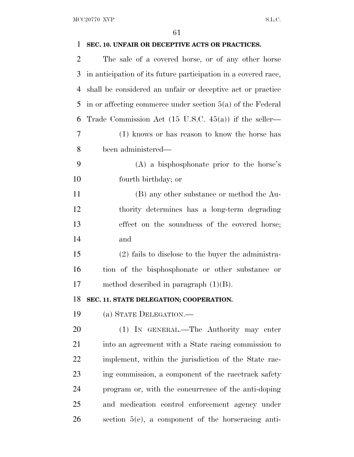| $\mathbf{1}$   | SEC. 10. UNFAIR OR DECEPTIVE ACTS OR PRACTICES.                  |
|----------------|------------------------------------------------------------------|
| $\overline{2}$ | The sale of a covered horse, or of any other horse               |
| 3              | in anticipation of its future participation in a covered race,   |
| 4              | shall be considered an unfair or deceptive act or practice       |
| 5              | in or affecting commerce under section $5(a)$ of the Federal     |
| 6              | Trade Commission Act $(15 \text{ U.S.C. } 45(a))$ if the seller— |
| 7              | (1) knows or has reason to know the horse has                    |
| 8              | been administered—                                               |
| 9              | $(A)$ a bisphosphonate prior to the horse's                      |
| 10             | fourth birthday; or                                              |
| 11             | (B) any other substance or method the Au-                        |
| 12             | thority determines has a long-term degrading                     |
| 13             | effect on the soundness of the covered horse;                    |
| 14             | and                                                              |
| 15             | (2) fails to disclose to the buyer the administra-               |
| 16             | tion of the bisphosphonate or other substance or                 |
| 17             | method described in paragraph $(1)(B)$ .                         |
| 18             | SEC. 11. STATE DELEGATION; COOPERATION.                          |
| 19             | (a) STATE DELEGATION.—                                           |
| 20             | (1) IN GENERAL.—The Authority may enter                          |
| 21             | into an agreement with a State racing commission to              |
| 22             | implement, within the jurisdiction of the State rac-             |
| 23             | ing commission, a component of the racetrack safety              |
| 24             | program or, with the concurrence of the anti-doping              |
| 25             | and medication control enforcement agency under                  |
| 26             | section $5(e)$ , a component of the horseracing anti-            |